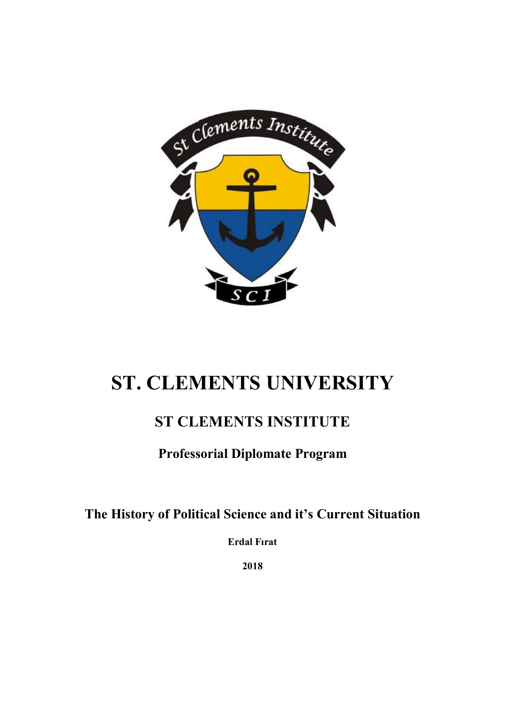

# **ST. CLEMENTS UNIVERSITY**

# **ST CLEMENTS INSTITUTE**

# **Professorial Diplomate Program**

# **The History of Political Science and it's Current Situation**

**Erdal Fırat**

**2018**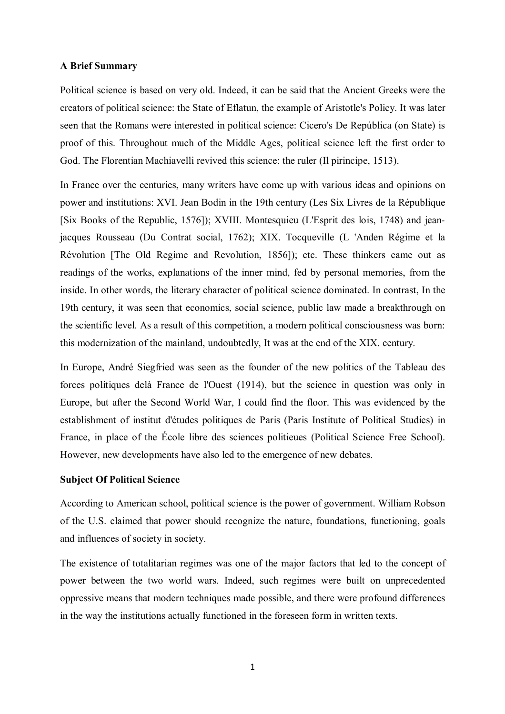#### **A Brief Summary**

Political science is based on very old. Indeed, it can be said that the Ancient Greeks were the creators of political science: the State of Eflatun, the example of Aristotle's Policy. It was later seen that the Romans were interested in political science: Cicero's De República (on State) is proof of this. Throughout much of the Middle Ages, political science left the first order to God. The Florentian Machiavelli revived this science: the ruler (Il pirincipe, 1513).

In France over the centuries, many writers have come up with various ideas and opinions on power and institutions: XVI. Jean Bodin in the 19th century (Les Six Livres de la République [Six Books of the Republic, 1576]); XVIII. Montesquieu (L'Esprit des lois, 1748) and jeanjacques Rousseau (Du Contrat social, 1762); XIX. Tocqueville (L 'Anden Régime et la Révolution [The Old Regime and Revolution, 1856]); etc. These thinkers came out as readings of the works, explanations of the inner mind, fed by personal memories, from the inside. In other words, the literary character of political science dominated. In contrast, In the 19th century, it was seen that economics, social science, public law made a breakthrough on the scientific level. As a result of this competition, a modern political consciousness was born: this modernization of the mainland, undoubtedly, It was at the end of the XIX. century.

In Europe, André Siegfried was seen as the founder of the new politics of the Tableau des forces politiques delà France de l'Ouest (1914), but the science in question was only in Europe, but after the Second World War, I could find the floor. This was evidenced by the establishment of institut d'études politiques de Paris (Paris Institute of Political Studies) in France, in place of the École libre des sciences politieues (Political Science Free School). However, new developments have also led to the emergence of new debates.

## **Subject Of Political Science**

According to American school, political science is the power of government. William Robson of the U.S. claimed that power should recognize the nature, foundations, functioning, goals and influences of society in society.

The existence of totalitarian regimes was one of the major factors that led to the concept of power between the two world wars. Indeed, such regimes were built on unprecedented oppressive means that modern techniques made possible, and there were profound differences in the way the institutions actually functioned in the foreseen form in written texts.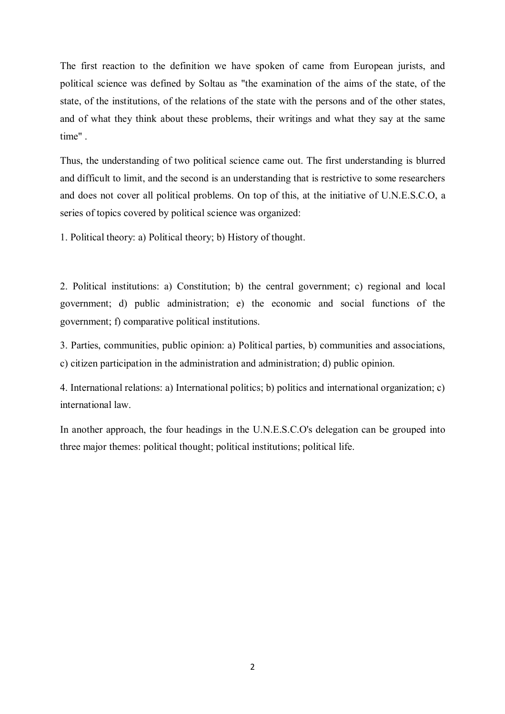The first reaction to the definition we have spoken of came from European jurists, and political science was defined by Soltau as "the examination of the aims of the state, of the state, of the institutions, of the relations of the state with the persons and of the other states, and of what they think about these problems, their writings and what they say at the same time" .

Thus, the understanding of two political science came out. The first understanding is blurred and difficult to limit, and the second is an understanding that is restrictive to some researchers and does not cover all political problems. On top of this, at the initiative of U.N.E.S.C.O, a series of topics covered by political science was organized:

1. Political theory: a) Political theory; b) History of thought.

2. Political institutions: a) Constitution; b) the central government; c) regional and local government; d) public administration; e) the economic and social functions of the government; f) comparative political institutions.

3. Parties, communities, public opinion: a) Political parties, b) communities and associations, c) citizen participation in the administration and administration; d) public opinion.

4. International relations: a) International politics; b) politics and international organization; c) international law.

In another approach, the four headings in the U.N.E.S.C.O's delegation can be grouped into three major themes: political thought; political institutions; political life.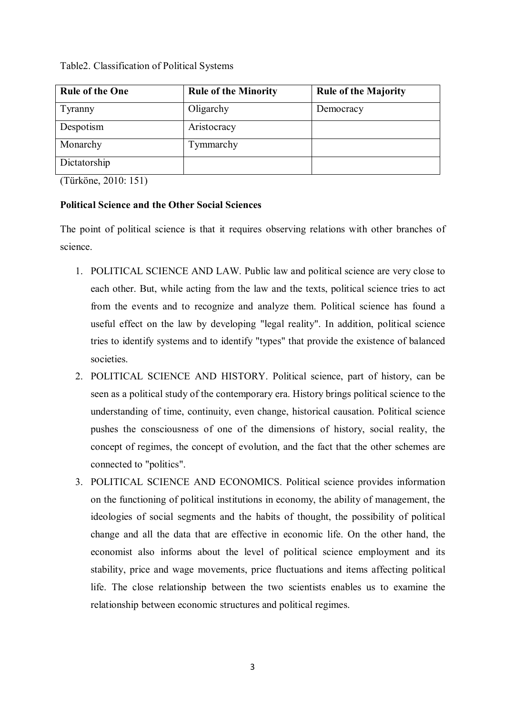# Table2. Classification of Political Systems

| <b>Rule of the One</b> | <b>Rule of the Minority</b> | <b>Rule of the Majority</b> |
|------------------------|-----------------------------|-----------------------------|
| Tyranny                | Oligarchy                   | Democracy                   |
| Despotism              | Aristocracy                 |                             |
| Monarchy               | Tymmarchy                   |                             |
| Dictatorship           |                             |                             |

(Türköne, 2010: 151)

# **Political Science and the Other Social Sciences**

The point of political science is that it requires observing relations with other branches of science.

- 1. POLITICAL SCIENCE AND LAW. Public law and political science are very close to each other. But, while acting from the law and the texts, political science tries to act from the events and to recognize and analyze them. Political science has found a useful effect on the law by developing "legal reality". In addition, political science tries to identify systems and to identify "types" that provide the existence of balanced societies.
- 2. POLITICAL SCIENCE AND HISTORY. Political science, part of history, can be seen as a political study of the contemporary era. History brings political science to the understanding of time, continuity, even change, historical causation. Political science pushes the consciousness of one of the dimensions of history, social reality, the concept of regimes, the concept of evolution, and the fact that the other schemes are connected to "politics".
- 3. POLITICAL SCIENCE AND ECONOMICS. Political science provides information on the functioning of political institutions in economy, the ability of management, the ideologies of social segments and the habits of thought, the possibility of political change and all the data that are effective in economic life. On the other hand, the economist also informs about the level of political science employment and its stability, price and wage movements, price fluctuations and items affecting political life. The close relationship between the two scientists enables us to examine the relationship between economic structures and political regimes.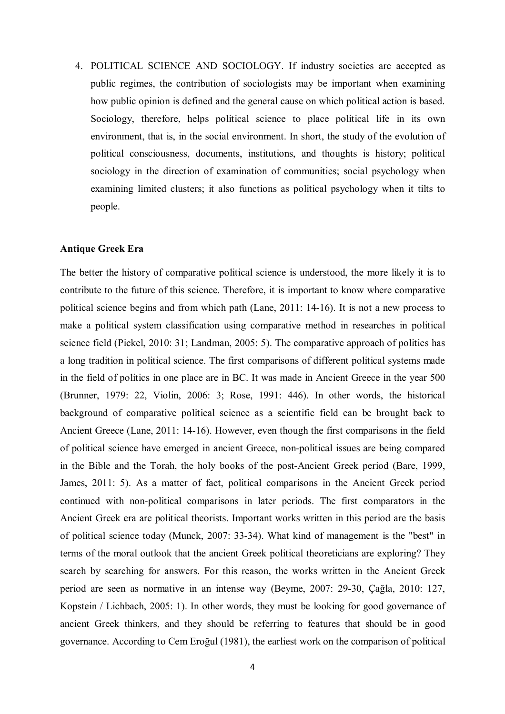4. POLITICAL SCIENCE AND SOCIOLOGY. If industry societies are accepted as public regimes, the contribution of sociologists may be important when examining how public opinion is defined and the general cause on which political action is based. Sociology, therefore, helps political science to place political life in its own environment, that is, in the social environment. In short, the study of the evolution of political consciousness, documents, institutions, and thoughts is history; political sociology in the direction of examination of communities; social psychology when examining limited clusters; it also functions as political psychology when it tilts to people.

## **Antique Greek Era**

The better the history of comparative political science is understood, the more likely it is to contribute to the future of this science. Therefore, it is important to know where comparative political science begins and from which path (Lane, 2011: 14-16). It is not a new process to make a political system classification using comparative method in researches in political science field (Pickel, 2010: 31; Landman, 2005: 5). The comparative approach of politics has a long tradition in political science. The first comparisons of different political systems made in the field of politics in one place are in BC. It was made in Ancient Greece in the year 500 (Brunner, 1979: 22, Violin, 2006: 3; Rose, 1991: 446). In other words, the historical background of comparative political science as a scientific field can be brought back to Ancient Greece (Lane, 2011: 14-16). However, even though the first comparisons in the field of political science have emerged in ancient Greece, non-political issues are being compared in the Bible and the Torah, the holy books of the post-Ancient Greek period (Bare, 1999, James, 2011: 5). As a matter of fact, political comparisons in the Ancient Greek period continued with non-political comparisons in later periods. The first comparators in the Ancient Greek era are political theorists. Important works written in this period are the basis of political science today (Munck, 2007: 33-34). What kind of management is the "best" in terms of the moral outlook that the ancient Greek political theoreticians are exploring? They search by searching for answers. For this reason, the works written in the Ancient Greek period are seen as normative in an intense way (Beyme, 2007: 29-30, Çağla, 2010: 127, Kopstein / Lichbach, 2005: 1). In other words, they must be looking for good governance of ancient Greek thinkers, and they should be referring to features that should be in good governance. According to Cem Eroğul (1981), the earliest work on the comparison of political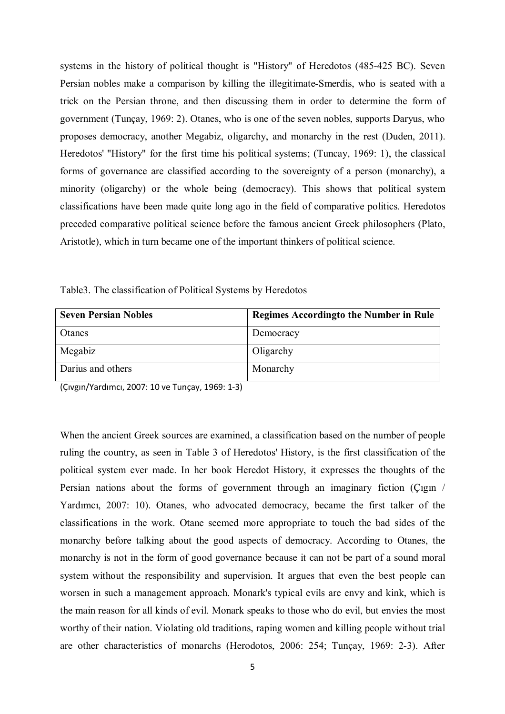systems in the history of political thought is "History" of Heredotos (485-425 BC). Seven Persian nobles make a comparison by killing the illegitimate-Smerdis, who is seated with a trick on the Persian throne, and then discussing them in order to determine the form of government (Tunçay, 1969: 2). Otanes, who is one of the seven nobles, supports Daryus, who proposes democracy, another Megabiz, oligarchy, and monarchy in the rest (Duden, 2011). Heredotos' "History" for the first time his political systems; (Tuncay, 1969: 1), the classical forms of governance are classified according to the sovereignty of a person (monarchy), a minority (oligarchy) or the whole being (democracy). This shows that political system classifications have been made quite long ago in the field of comparative politics. Heredotos preceded comparative political science before the famous ancient Greek philosophers (Plato, Aristotle), which in turn became one of the important thinkers of political science.

| <b>Seven Persian Nobles</b> | <b>Regimes According to the Number in Rule</b> |
|-----------------------------|------------------------------------------------|
| Otanes                      | Democracy                                      |
| Megabiz                     | Oligarchy                                      |
| Darius and others           | Monarchy                                       |

Table3. The classification of Political Systems by Heredotos

(Çıvgın/Yardımcı, 2007: 10 ve Tunçay, 1969: 1-3)

When the ancient Greek sources are examined, a classification based on the number of people ruling the country, as seen in Table 3 of Heredotos' History, is the first classification of the political system ever made. In her book Heredot History, it expresses the thoughts of the Persian nations about the forms of government through an imaginary fiction (Çıgın / Yardımcı, 2007: 10). Otanes, who advocated democracy, became the first talker of the classifications in the work. Otane seemed more appropriate to touch the bad sides of the monarchy before talking about the good aspects of democracy. According to Otanes, the monarchy is not in the form of good governance because it can not be part of a sound moral system without the responsibility and supervision. It argues that even the best people can worsen in such a management approach. Monark's typical evils are envy and kink, which is the main reason for all kinds of evil. Monark speaks to those who do evil, but envies the most worthy of their nation. Violating old traditions, raping women and killing people without trial are other characteristics of monarchs (Herodotos, 2006: 254; Tunçay, 1969: 2-3). After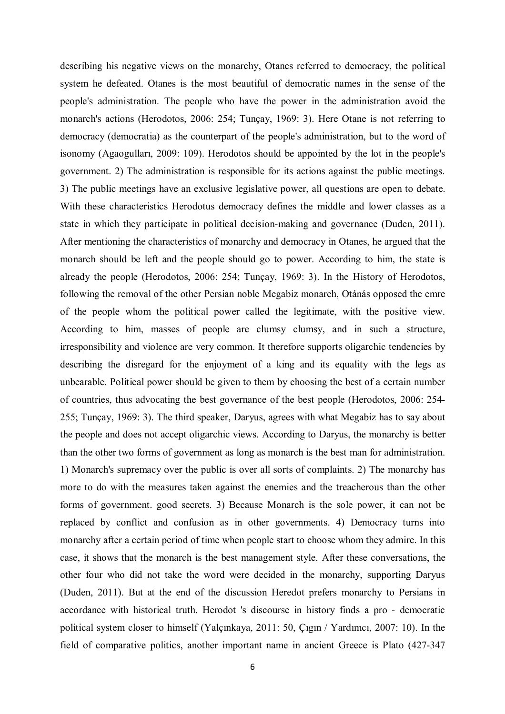describing his negative views on the monarchy, Otanes referred to democracy, the political system he defeated. Otanes is the most beautiful of democratic names in the sense of the people's administration. The people who have the power in the administration avoid the monarch's actions (Herodotos, 2006: 254; Tunçay, 1969: 3). Here Otane is not referring to democracy (democratia) as the counterpart of the people's administration, but to the word of isonomy (Agaogulları, 2009: 109). Herodotos should be appointed by the lot in the people's government. 2) The administration is responsible for its actions against the public meetings. 3) The public meetings have an exclusive legislative power, all questions are open to debate. With these characteristics Herodotus democracy defines the middle and lower classes as a state in which they participate in political decision-making and governance (Duden, 2011). After mentioning the characteristics of monarchy and democracy in Otanes, he argued that the monarch should be left and the people should go to power. According to him, the state is already the people (Herodotos, 2006: 254; Tunçay, 1969: 3). In the History of Herodotos, following the removal of the other Persian noble Megabiz monarch, Otánás opposed the emre of the people whom the political power called the legitimate, with the positive view. According to him, masses of people are clumsy clumsy, and in such a structure, irresponsibility and violence are very common. It therefore supports oligarchic tendencies by describing the disregard for the enjoyment of a king and its equality with the legs as unbearable. Political power should be given to them by choosing the best of a certain number of countries, thus advocating the best governance of the best people (Herodotos, 2006: 254- 255; Tunçay, 1969: 3). The third speaker, Daryus, agrees with what Megabiz has to say about the people and does not accept oligarchic views. According to Daryus, the monarchy is better than the other two forms of government as long as monarch is the best man for administration. 1) Monarch's supremacy over the public is over all sorts of complaints. 2) The monarchy has more to do with the measures taken against the enemies and the treacherous than the other forms of government. good secrets. 3) Because Monarch is the sole power, it can not be replaced by conflict and confusion as in other governments. 4) Democracy turns into monarchy after a certain period of time when people start to choose whom they admire. In this case, it shows that the monarch is the best management style. After these conversations, the other four who did not take the word were decided in the monarchy, supporting Daryus (Duden, 2011). But at the end of the discussion Heredot prefers monarchy to Persians in accordance with historical truth. Herodot 's discourse in history finds a pro - democratic political system closer to himself (Yalçınkaya, 2011: 50, Çıgın / Yardımcı, 2007: 10). In the field of comparative politics, another important name in ancient Greece is Plato (427-347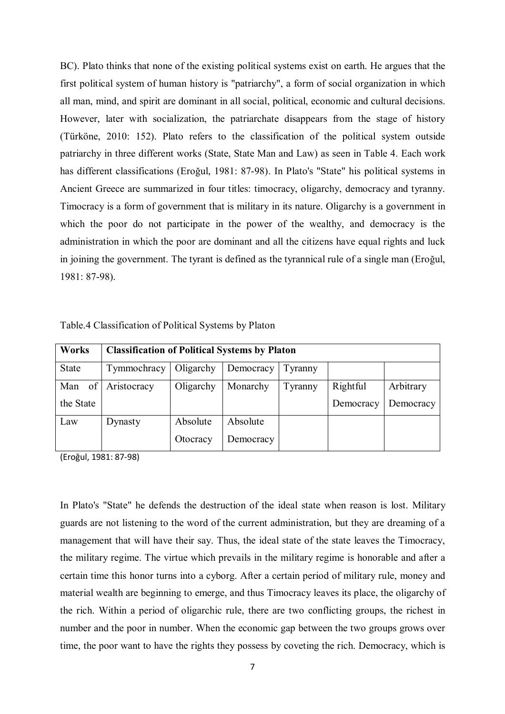BC). Plato thinks that none of the existing political systems exist on earth. He argues that the first political system of human history is "patriarchy", a form of social organization in which all man, mind, and spirit are dominant in all social, political, economic and cultural decisions. However, later with socialization, the patriarchate disappears from the stage of history (Türköne, 2010: 152). Plato refers to the classification of the political system outside patriarchy in three different works (State, State Man and Law) as seen in Table 4. Each work has different classifications (Eroğul, 1981: 87-98). In Plato's "State" his political systems in Ancient Greece are summarized in four titles: timocracy, oligarchy, democracy and tyranny. Timocracy is a form of government that is military in its nature. Oligarchy is a government in which the poor do not participate in the power of the wealthy, and democracy is the administration in which the poor are dominant and all the citizens have equal rights and luck in joining the government. The tyrant is defined as the tyrannical rule of a single man (Eroğul, 1981: 87-98).

| <b>Works</b> | <b>Classification of Political Systems by Platon</b> |           |           |         |           |           |
|--------------|------------------------------------------------------|-----------|-----------|---------|-----------|-----------|
| State        | Tymmochracy                                          | Oligarchy | Democracy | Tyranny |           |           |
| of<br>Man    | Aristocracy                                          | Oligarchy | Monarchy  | Tyranny | Rightful  | Arbitrary |
| the State    |                                                      |           |           |         | Democracy | Democracy |
| Law          | Dynasty                                              | Absolute  | Absolute  |         |           |           |
|              |                                                      | Otocracy  | Democracy |         |           |           |

Table.4 Classification of Political Systems by Platon

(Eroğul, 1981: 87-98)

In Plato's "State" he defends the destruction of the ideal state when reason is lost. Military guards are not listening to the word of the current administration, but they are dreaming of a management that will have their say. Thus, the ideal state of the state leaves the Timocracy, the military regime. The virtue which prevails in the military regime is honorable and after a certain time this honor turns into a cyborg. After a certain period of military rule, money and material wealth are beginning to emerge, and thus Timocracy leaves its place, the oligarchy of the rich. Within a period of oligarchic rule, there are two conflicting groups, the richest in number and the poor in number. When the economic gap between the two groups grows over time, the poor want to have the rights they possess by coveting the rich. Democracy, which is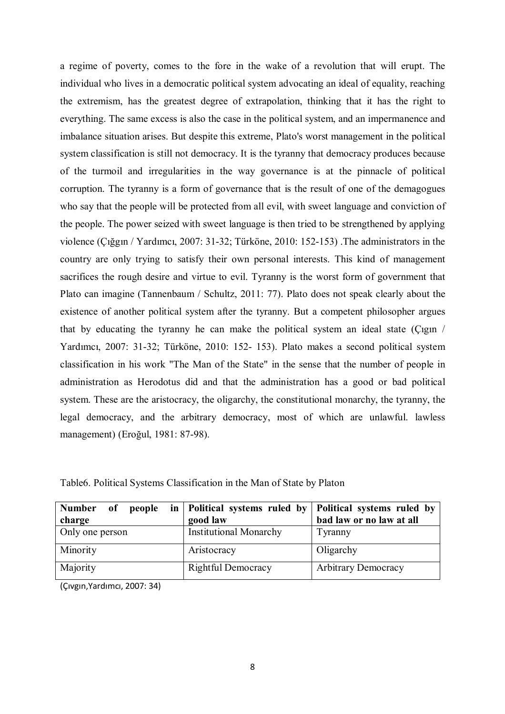a regime of poverty, comes to the fore in the wake of a revolution that will erupt. The individual who lives in a democratic political system advocating an ideal of equality, reaching the extremism, has the greatest degree of extrapolation, thinking that it has the right to everything. The same excess is also the case in the political system, and an impermanence and imbalance situation arises. But despite this extreme, Plato's worst management in the political system classification is still not democracy. It is the tyranny that democracy produces because of the turmoil and irregularities in the way governance is at the pinnacle of political corruption. The tyranny is a form of governance that is the result of one of the demagogues who say that the people will be protected from all evil, with sweet language and conviction of the people. The power seized with sweet language is then tried to be strengthened by applying violence (Çığgın / Yardımcı, 2007: 31-32; Türköne, 2010: 152-153) .The administrators in the country are only trying to satisfy their own personal interests. This kind of management sacrifices the rough desire and virtue to evil. Tyranny is the worst form of government that Plato can imagine (Tannenbaum / Schultz, 2011: 77). Plato does not speak clearly about the existence of another political system after the tyranny. But a competent philosopher argues that by educating the tyranny he can make the political system an ideal state (Çıgın / Yardımcı, 2007: 31-32; Türköne, 2010: 152- 153). Plato makes a second political system classification in his work "The Man of the State" in the sense that the number of people in administration as Herodotus did and that the administration has a good or bad political system. These are the aristocracy, the oligarchy, the constitutional monarchy, the tyranny, the legal democracy, and the arbitrary democracy, most of which are unlawful. lawless management) (Eroğul, 1981: 87-98).

| Number of people<br>charge | in   Political systems ruled by   Political systems ruled by<br>good law | bad law or no law at all   |
|----------------------------|--------------------------------------------------------------------------|----------------------------|
| Only one person            | <b>Institutional Monarchy</b>                                            | Tyranny                    |
| Minority                   | Aristocracy                                                              | Oligarchy                  |
| Majority                   | <b>Rightful Democracy</b>                                                | <b>Arbitrary Democracy</b> |

Table6. Political Systems Classification in the Man of State by Platon

(Çıvgın,Yardımcı, 2007: 34)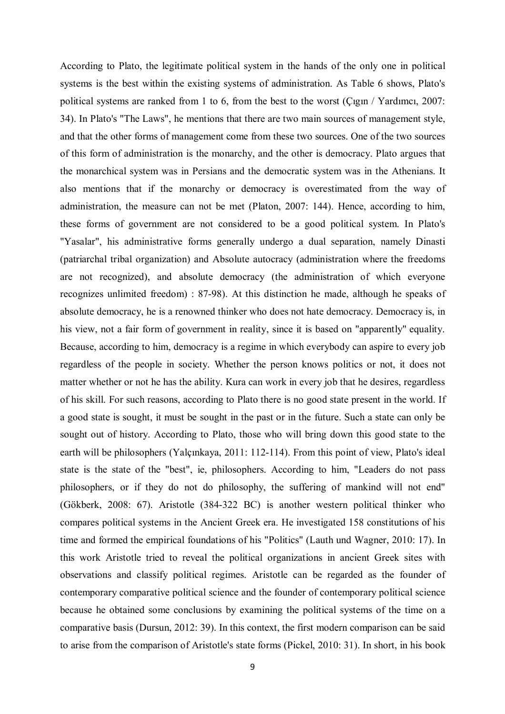According to Plato, the legitimate political system in the hands of the only one in political systems is the best within the existing systems of administration. As Table 6 shows, Plato's political systems are ranked from 1 to 6, from the best to the worst (Çıgın / Yardımcı, 2007: 34). In Plato's "The Laws", he mentions that there are two main sources of management style, and that the other forms of management come from these two sources. One of the two sources of this form of administration is the monarchy, and the other is democracy. Plato argues that the monarchical system was in Persians and the democratic system was in the Athenians. It also mentions that if the monarchy or democracy is overestimated from the way of administration, the measure can not be met (Platon, 2007: 144). Hence, according to him, these forms of government are not considered to be a good political system. In Plato's "Yasalar", his administrative forms generally undergo a dual separation, namely Dinasti (patriarchal tribal organization) and Absolute autocracy (administration where the freedoms are not recognized), and absolute democracy (the administration of which everyone recognizes unlimited freedom) : 87-98). At this distinction he made, although he speaks of absolute democracy, he is a renowned thinker who does not hate democracy. Democracy is, in his view, not a fair form of government in reality, since it is based on "apparently" equality. Because, according to him, democracy is a regime in which everybody can aspire to every job regardless of the people in society. Whether the person knows politics or not, it does not matter whether or not he has the ability. Kura can work in every job that he desires, regardless of his skill. For such reasons, according to Plato there is no good state present in the world. If a good state is sought, it must be sought in the past or in the future. Such a state can only be sought out of history. According to Plato, those who will bring down this good state to the earth will be philosophers (Yalçınkaya, 2011: 112-114). From this point of view, Plato's ideal state is the state of the "best", ie, philosophers. According to him, "Leaders do not pass philosophers, or if they do not do philosophy, the suffering of mankind will not end" (Gökberk, 2008: 67). Aristotle (384-322 BC) is another western political thinker who compares political systems in the Ancient Greek era. He investigated 158 constitutions of his time and formed the empirical foundations of his "Politics" (Lauth und Wagner, 2010: 17). In this work Aristotle tried to reveal the political organizations in ancient Greek sites with observations and classify political regimes. Aristotle can be regarded as the founder of contemporary comparative political science and the founder of contemporary political science because he obtained some conclusions by examining the political systems of the time on a comparative basis (Dursun, 2012: 39). In this context, the first modern comparison can be said to arise from the comparison of Aristotle's state forms (Pickel, 2010: 31). In short, in his book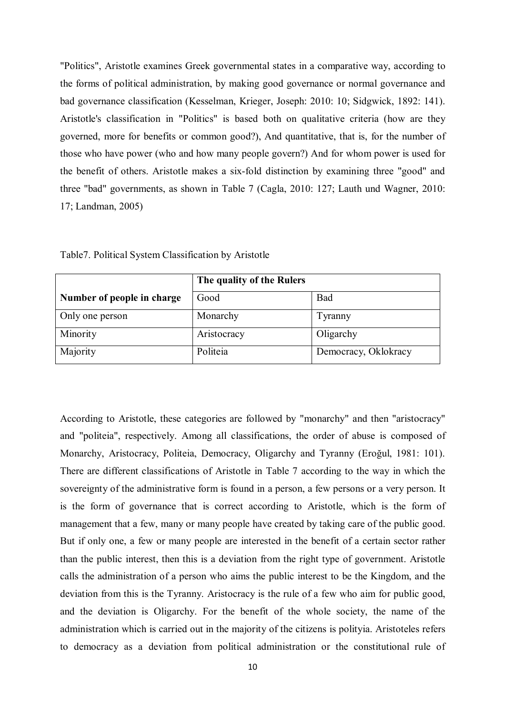"Politics", Aristotle examines Greek governmental states in a comparative way, according to the forms of political administration, by making good governance or normal governance and bad governance classification (Kesselman, Krieger, Joseph: 2010: 10; Sidgwick, 1892: 141). Aristotle's classification in "Politics" is based both on qualitative criteria (how are they governed, more for benefits or common good?), And quantitative, that is, for the number of those who have power (who and how many people govern?) And for whom power is used for the benefit of others. Aristotle makes a six-fold distinction by examining three "good" and three "bad" governments, as shown in Table 7 (Cagla, 2010: 127; Lauth und Wagner, 2010: 17; Landman, 2005)

|                            | The quality of the Rulers |                      |
|----------------------------|---------------------------|----------------------|
| Number of people in charge | Good                      | Bad                  |
| Only one person            | Monarchy                  | Tyranny              |
| Minority                   | Aristocracy               | Oligarchy            |
| Majority                   | Politeia                  | Democracy, Oklokracy |

Table7. Political System Classification by Aristotle

According to Aristotle, these categories are followed by "monarchy" and then "aristocracy" and "politeia", respectively. Among all classifications, the order of abuse is composed of Monarchy, Aristocracy, Politeia, Democracy, Oligarchy and Tyranny (Eroğul, 1981: 101). There are different classifications of Aristotle in Table 7 according to the way in which the sovereignty of the administrative form is found in a person, a few persons or a very person. It is the form of governance that is correct according to Aristotle, which is the form of management that a few, many or many people have created by taking care of the public good. But if only one, a few or many people are interested in the benefit of a certain sector rather than the public interest, then this is a deviation from the right type of government. Aristotle calls the administration of a person who aims the public interest to be the Kingdom, and the deviation from this is the Tyranny. Aristocracy is the rule of a few who aim for public good, and the deviation is Oligarchy. For the benefit of the whole society, the name of the administration which is carried out in the majority of the citizens is polityia. Aristoteles refers to democracy as a deviation from political administration or the constitutional rule of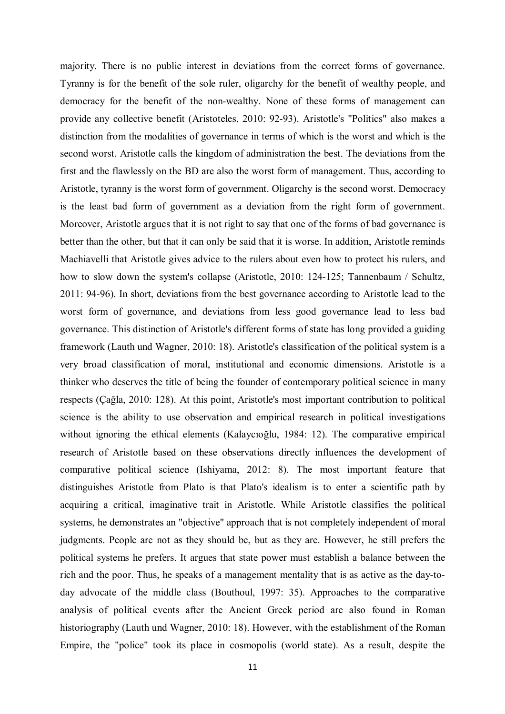majority. There is no public interest in deviations from the correct forms of governance. Tyranny is for the benefit of the sole ruler, oligarchy for the benefit of wealthy people, and democracy for the benefit of the non-wealthy. None of these forms of management can provide any collective benefit (Aristoteles, 2010: 92-93). Aristotle's "Politics" also makes a distinction from the modalities of governance in terms of which is the worst and which is the second worst. Aristotle calls the kingdom of administration the best. The deviations from the first and the flawlessly on the BD are also the worst form of management. Thus, according to Aristotle, tyranny is the worst form of government. Oligarchy is the second worst. Democracy is the least bad form of government as a deviation from the right form of government. Moreover, Aristotle argues that it is not right to say that one of the forms of bad governance is better than the other, but that it can only be said that it is worse. In addition, Aristotle reminds Machiavelli that Aristotle gives advice to the rulers about even how to protect his rulers, and how to slow down the system's collapse (Aristotle, 2010: 124-125; Tannenbaum / Schultz, 2011: 94-96). In short, deviations from the best governance according to Aristotle lead to the worst form of governance, and deviations from less good governance lead to less bad governance. This distinction of Aristotle's different forms of state has long provided a guiding framework (Lauth und Wagner, 2010: 18). Aristotle's classification of the political system is a very broad classification of moral, institutional and economic dimensions. Aristotle is a thinker who deserves the title of being the founder of contemporary political science in many respects (Çağla, 2010: 128). At this point, Aristotle's most important contribution to political science is the ability to use observation and empirical research in political investigations without ignoring the ethical elements (Kalaycıoğlu, 1984: 12). The comparative empirical research of Aristotle based on these observations directly influences the development of comparative political science (Ishiyama, 2012: 8). The most important feature that distinguishes Aristotle from Plato is that Plato's idealism is to enter a scientific path by acquiring a critical, imaginative trait in Aristotle. While Aristotle classifies the political systems, he demonstrates an "objective" approach that is not completely independent of moral judgments. People are not as they should be, but as they are. However, he still prefers the political systems he prefers. It argues that state power must establish a balance between the rich and the poor. Thus, he speaks of a management mentality that is as active as the day-today advocate of the middle class (Bouthoul, 1997: 35). Approaches to the comparative analysis of political events after the Ancient Greek period are also found in Roman historiography (Lauth und Wagner, 2010: 18). However, with the establishment of the Roman Empire, the "police" took its place in cosmopolis (world state). As a result, despite the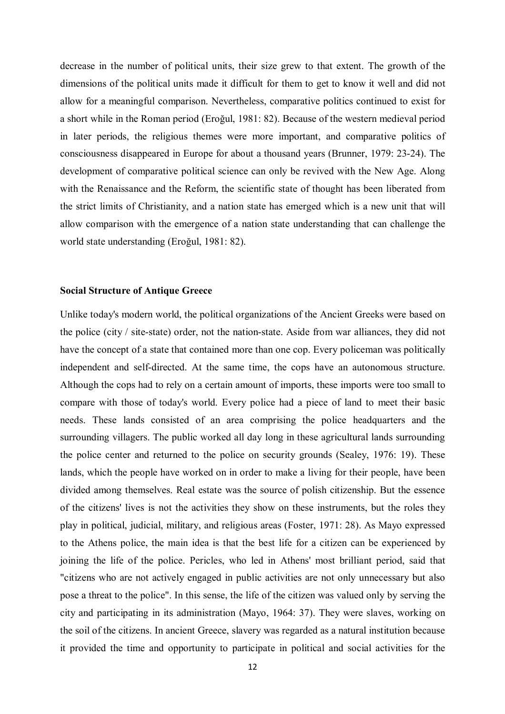decrease in the number of political units, their size grew to that extent. The growth of the dimensions of the political units made it difficult for them to get to know it well and did not allow for a meaningful comparison. Nevertheless, comparative politics continued to exist for a short while in the Roman period (Eroğul, 1981: 82). Because of the western medieval period in later periods, the religious themes were more important, and comparative politics of consciousness disappeared in Europe for about a thousand years (Brunner, 1979: 23-24). The development of comparative political science can only be revived with the New Age. Along with the Renaissance and the Reform, the scientific state of thought has been liberated from the strict limits of Christianity, and a nation state has emerged which is a new unit that will allow comparison with the emergence of a nation state understanding that can challenge the world state understanding (Eroğul, 1981: 82).

#### **Social Structure of Antique Greece**

Unlike today's modern world, the political organizations of the Ancient Greeks were based on the police (city / site-state) order, not the nation-state. Aside from war alliances, they did not have the concept of a state that contained more than one cop. Every policeman was politically independent and self-directed. At the same time, the cops have an autonomous structure. Although the cops had to rely on a certain amount of imports, these imports were too small to compare with those of today's world. Every police had a piece of land to meet their basic needs. These lands consisted of an area comprising the police headquarters and the surrounding villagers. The public worked all day long in these agricultural lands surrounding the police center and returned to the police on security grounds (Sealey, 1976: 19). These lands, which the people have worked on in order to make a living for their people, have been divided among themselves. Real estate was the source of polish citizenship. But the essence of the citizens' lives is not the activities they show on these instruments, but the roles they play in political, judicial, military, and religious areas (Foster, 1971: 28). As Mayo expressed to the Athens police, the main idea is that the best life for a citizen can be experienced by joining the life of the police. Pericles, who led in Athens' most brilliant period, said that "citizens who are not actively engaged in public activities are not only unnecessary but also pose a threat to the police". In this sense, the life of the citizen was valued only by serving the city and participating in its administration (Mayo, 1964: 37). They were slaves, working on the soil of the citizens. In ancient Greece, slavery was regarded as a natural institution because it provided the time and opportunity to participate in political and social activities for the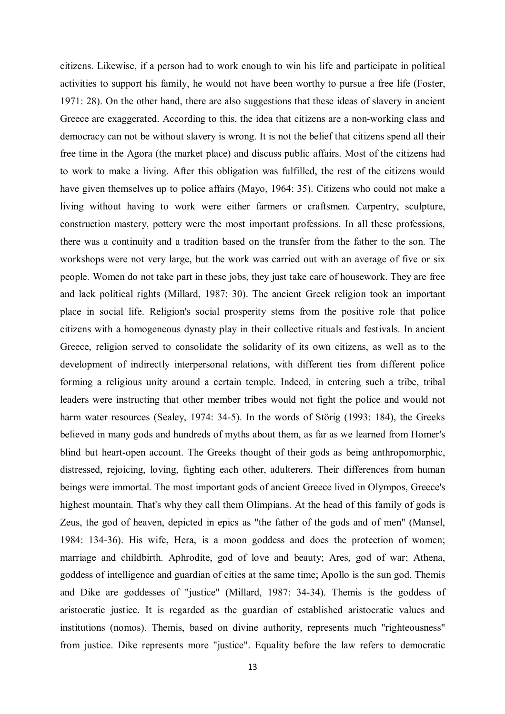citizens. Likewise, if a person had to work enough to win his life and participate in political activities to support his family, he would not have been worthy to pursue a free life (Foster, 1971: 28). On the other hand, there are also suggestions that these ideas of slavery in ancient Greece are exaggerated. According to this, the idea that citizens are a non-working class and democracy can not be without slavery is wrong. It is not the belief that citizens spend all their free time in the Agora (the market place) and discuss public affairs. Most of the citizens had to work to make a living. After this obligation was fulfilled, the rest of the citizens would have given themselves up to police affairs (Mayo, 1964: 35). Citizens who could not make a living without having to work were either farmers or craftsmen. Carpentry, sculpture, construction mastery, pottery were the most important professions. In all these professions, there was a continuity and a tradition based on the transfer from the father to the son. The workshops were not very large, but the work was carried out with an average of five or six people. Women do not take part in these jobs, they just take care of housework. They are free and lack political rights (Millard, 1987: 30). The ancient Greek religion took an important place in social life. Religion's social prosperity stems from the positive role that police citizens with a homogeneous dynasty play in their collective rituals and festivals. In ancient Greece, religion served to consolidate the solidarity of its own citizens, as well as to the development of indirectly interpersonal relations, with different ties from different police forming a religious unity around a certain temple. Indeed, in entering such a tribe, tribal leaders were instructing that other member tribes would not fight the police and would not harm water resources (Sealey, 1974: 34-5). In the words of Störig (1993: 184), the Greeks believed in many gods and hundreds of myths about them, as far as we learned from Homer's blind but heart-open account. The Greeks thought of their gods as being anthropomorphic, distressed, rejoicing, loving, fighting each other, adulterers. Their differences from human beings were immortal. The most important gods of ancient Greece lived in Olympos, Greece's highest mountain. That's why they call them Olimpians. At the head of this family of gods is Zeus, the god of heaven, depicted in epics as "the father of the gods and of men" (Mansel, 1984: 134-36). His wife, Hera, is a moon goddess and does the protection of women; marriage and childbirth. Aphrodite, god of love and beauty; Ares, god of war; Athena, goddess of intelligence and guardian of cities at the same time; Apollo is the sun god. Themis and Dike are goddesses of "justice" (Millard, 1987: 34-34). Themis is the goddess of aristocratic justice. It is regarded as the guardian of established aristocratic values and institutions (nomos). Themis, based on divine authority, represents much "righteousness" from justice. Dike represents more "justice". Equality before the law refers to democratic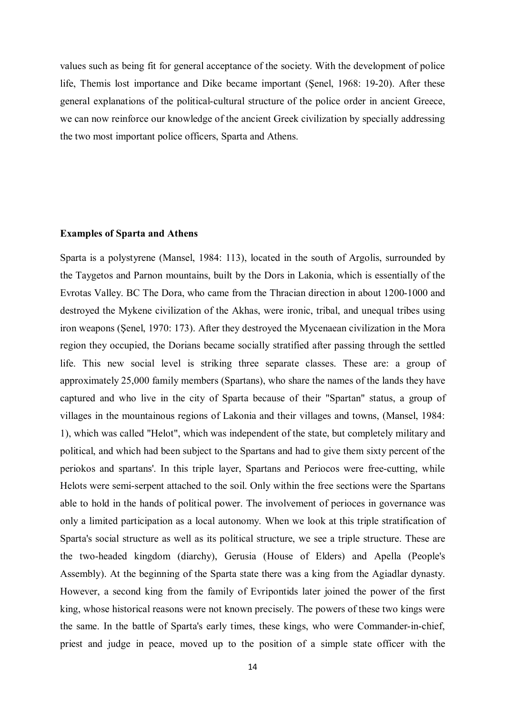values such as being fit for general acceptance of the society. With the development of police life, Themis lost importance and Dike became important (Şenel, 1968: 19-20). After these general explanations of the political-cultural structure of the police order in ancient Greece, we can now reinforce our knowledge of the ancient Greek civilization by specially addressing the two most important police officers, Sparta and Athens.

#### **Examples of Sparta and Athens**

Sparta is a polystyrene (Mansel, 1984: 113), located in the south of Argolis, surrounded by the Taygetos and Parnon mountains, built by the Dors in Lakonia, which is essentially of the Evrotas Valley. BC The Dora, who came from the Thracian direction in about 1200-1000 and destroyed the Mykene civilization of the Akhas, were ironic, tribal, and unequal tribes using iron weapons (Şenel, 1970: 173). After they destroyed the Mycenaean civilization in the Mora region they occupied, the Dorians became socially stratified after passing through the settled life. This new social level is striking three separate classes. These are: a group of approximately 25,000 family members (Spartans), who share the names of the lands they have captured and who live in the city of Sparta because of their "Spartan" status, a group of villages in the mountainous regions of Lakonia and their villages and towns, (Mansel, 1984: 1), which was called "Helot", which was independent of the state, but completely military and political, and which had been subject to the Spartans and had to give them sixty percent of the periokos and spartans'. In this triple layer, Spartans and Periocos were free-cutting, while Helots were semi-serpent attached to the soil. Only within the free sections were the Spartans able to hold in the hands of political power. The involvement of perioces in governance was only a limited participation as a local autonomy. When we look at this triple stratification of Sparta's social structure as well as its political structure, we see a triple structure. These are the two-headed kingdom (diarchy), Gerusia (House of Elders) and Apella (People's Assembly). At the beginning of the Sparta state there was a king from the Agiadlar dynasty. However, a second king from the family of Evripontids later joined the power of the first king, whose historical reasons were not known precisely. The powers of these two kings were the same. In the battle of Sparta's early times, these kings, who were Commander-in-chief, priest and judge in peace, moved up to the position of a simple state officer with the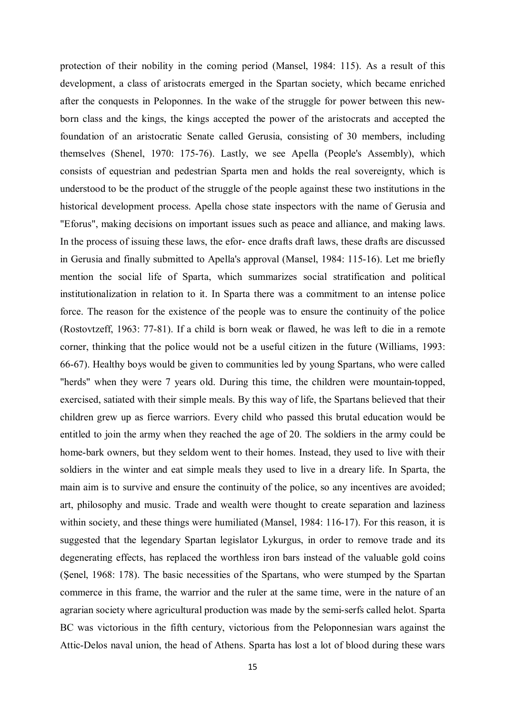protection of their nobility in the coming period (Mansel, 1984: 115). As a result of this development, a class of aristocrats emerged in the Spartan society, which became enriched after the conquests in Peloponnes. In the wake of the struggle for power between this newborn class and the kings, the kings accepted the power of the aristocrats and accepted the foundation of an aristocratic Senate called Gerusia, consisting of 30 members, including themselves (Shenel, 1970: 175-76). Lastly, we see Apella (People's Assembly), which consists of equestrian and pedestrian Sparta men and holds the real sovereignty, which is understood to be the product of the struggle of the people against these two institutions in the historical development process. Apella chose state inspectors with the name of Gerusia and "Eforus", making decisions on important issues such as peace and alliance, and making laws. In the process of issuing these laws, the efor- ence drafts draft laws, these drafts are discussed in Gerusia and finally submitted to Apella's approval (Mansel, 1984: 115-16). Let me briefly mention the social life of Sparta, which summarizes social stratification and political institutionalization in relation to it. In Sparta there was a commitment to an intense police force. The reason for the existence of the people was to ensure the continuity of the police (Rostovtzeff, 1963: 77-81). If a child is born weak or flawed, he was left to die in a remote corner, thinking that the police would not be a useful citizen in the future (Williams, 1993: 66-67). Healthy boys would be given to communities led by young Spartans, who were called "herds" when they were 7 years old. During this time, the children were mountain-topped, exercised, satiated with their simple meals. By this way of life, the Spartans believed that their children grew up as fierce warriors. Every child who passed this brutal education would be entitled to join the army when they reached the age of 20. The soldiers in the army could be home-bark owners, but they seldom went to their homes. Instead, they used to live with their soldiers in the winter and eat simple meals they used to live in a dreary life. In Sparta, the main aim is to survive and ensure the continuity of the police, so any incentives are avoided; art, philosophy and music. Trade and wealth were thought to create separation and laziness within society, and these things were humiliated (Mansel, 1984: 116-17). For this reason, it is suggested that the legendary Spartan legislator Lykurgus, in order to remove trade and its degenerating effects, has replaced the worthless iron bars instead of the valuable gold coins (Şenel, 1968: 178). The basic necessities of the Spartans, who were stumped by the Spartan commerce in this frame, the warrior and the ruler at the same time, were in the nature of an agrarian society where agricultural production was made by the semi-serfs called helot. Sparta BC was victorious in the fifth century, victorious from the Peloponnesian wars against the Attic-Delos naval union, the head of Athens. Sparta has lost a lot of blood during these wars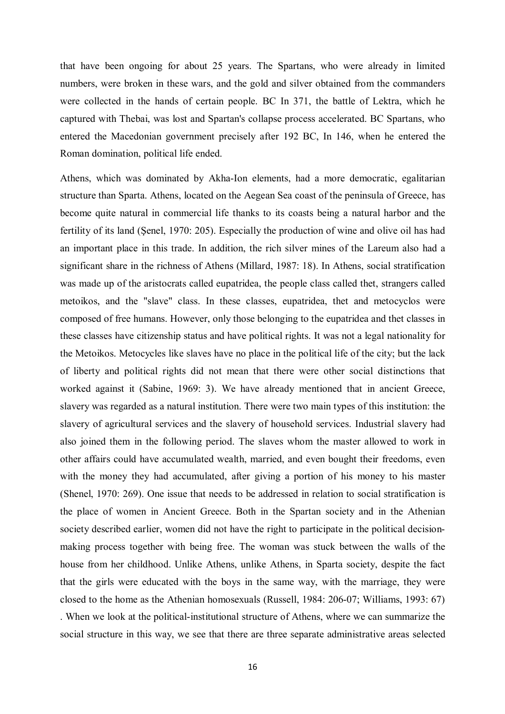that have been ongoing for about 25 years. The Spartans, who were already in limited numbers, were broken in these wars, and the gold and silver obtained from the commanders were collected in the hands of certain people. BC In 371, the battle of Lektra, which he captured with Thebai, was lost and Spartan's collapse process accelerated. BC Spartans, who entered the Macedonian government precisely after 192 BC, In 146, when he entered the Roman domination, political life ended.

Athens, which was dominated by Akha-Ion elements, had a more democratic, egalitarian structure than Sparta. Athens, located on the Aegean Sea coast of the peninsula of Greece, has become quite natural in commercial life thanks to its coasts being a natural harbor and the fertility of its land (Şenel, 1970: 205). Especially the production of wine and olive oil has had an important place in this trade. In addition, the rich silver mines of the Lareum also had a significant share in the richness of Athens (Millard, 1987: 18). In Athens, social stratification was made up of the aristocrats called eupatridea, the people class called thet, strangers called metoikos, and the "slave" class. In these classes, eupatridea, thet and metocyclos were composed of free humans. However, only those belonging to the eupatridea and thet classes in these classes have citizenship status and have political rights. It was not a legal nationality for the Metoikos. Metocycles like slaves have no place in the political life of the city; but the lack of liberty and political rights did not mean that there were other social distinctions that worked against it (Sabine, 1969: 3). We have already mentioned that in ancient Greece, slavery was regarded as a natural institution. There were two main types of this institution: the slavery of agricultural services and the slavery of household services. Industrial slavery had also joined them in the following period. The slaves whom the master allowed to work in other affairs could have accumulated wealth, married, and even bought their freedoms, even with the money they had accumulated, after giving a portion of his money to his master (Shenel, 1970: 269). One issue that needs to be addressed in relation to social stratification is the place of women in Ancient Greece. Both in the Spartan society and in the Athenian society described earlier, women did not have the right to participate in the political decisionmaking process together with being free. The woman was stuck between the walls of the house from her childhood. Unlike Athens, unlike Athens, in Sparta society, despite the fact that the girls were educated with the boys in the same way, with the marriage, they were closed to the home as the Athenian homosexuals (Russell, 1984: 206-07; Williams, 1993: 67) . When we look at the political-institutional structure of Athens, where we can summarize the social structure in this way, we see that there are three separate administrative areas selected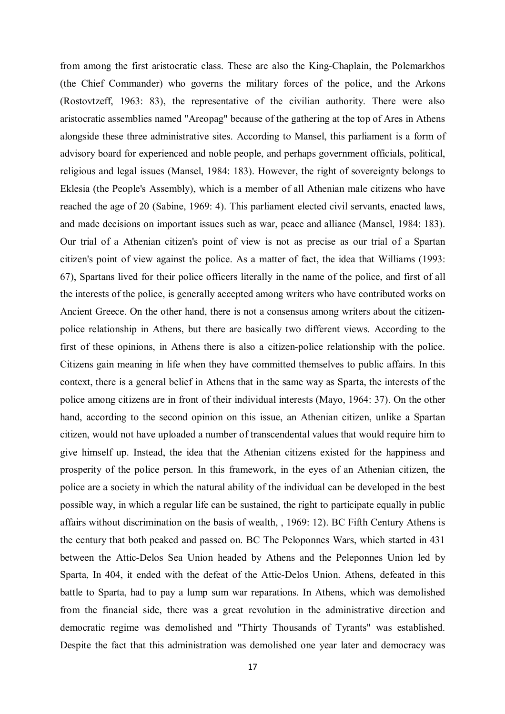from among the first aristocratic class. These are also the King-Chaplain, the Polemarkhos (the Chief Commander) who governs the military forces of the police, and the Arkons (Rostovtzeff, 1963: 83), the representative of the civilian authority. There were also aristocratic assemblies named "Areopag" because of the gathering at the top of Ares in Athens alongside these three administrative sites. According to Mansel, this parliament is a form of advisory board for experienced and noble people, and perhaps government officials, political, religious and legal issues (Mansel, 1984: 183). However, the right of sovereignty belongs to Eklesia (the People's Assembly), which is a member of all Athenian male citizens who have reached the age of 20 (Sabine, 1969: 4). This parliament elected civil servants, enacted laws, and made decisions on important issues such as war, peace and alliance (Mansel, 1984: 183). Our trial of a Athenian citizen's point of view is not as precise as our trial of a Spartan citizen's point of view against the police. As a matter of fact, the idea that Williams (1993: 67), Spartans lived for their police officers literally in the name of the police, and first of all the interests of the police, is generally accepted among writers who have contributed works on Ancient Greece. On the other hand, there is not a consensus among writers about the citizenpolice relationship in Athens, but there are basically two different views. According to the first of these opinions, in Athens there is also a citizen-police relationship with the police. Citizens gain meaning in life when they have committed themselves to public affairs. In this context, there is a general belief in Athens that in the same way as Sparta, the interests of the police among citizens are in front of their individual interests (Mayo, 1964: 37). On the other hand, according to the second opinion on this issue, an Athenian citizen, unlike a Spartan citizen, would not have uploaded a number of transcendental values that would require him to give himself up. Instead, the idea that the Athenian citizens existed for the happiness and prosperity of the police person. In this framework, in the eyes of an Athenian citizen, the police are a society in which the natural ability of the individual can be developed in the best possible way, in which a regular life can be sustained, the right to participate equally in public affairs without discrimination on the basis of wealth, , 1969: 12). BC Fifth Century Athens is the century that both peaked and passed on. BC The Peloponnes Wars, which started in 431 between the Attic-Delos Sea Union headed by Athens and the Peleponnes Union led by Sparta, In 404, it ended with the defeat of the Attic-Delos Union. Athens, defeated in this battle to Sparta, had to pay a lump sum war reparations. In Athens, which was demolished from the financial side, there was a great revolution in the administrative direction and democratic regime was demolished and "Thirty Thousands of Tyrants" was established. Despite the fact that this administration was demolished one year later and democracy was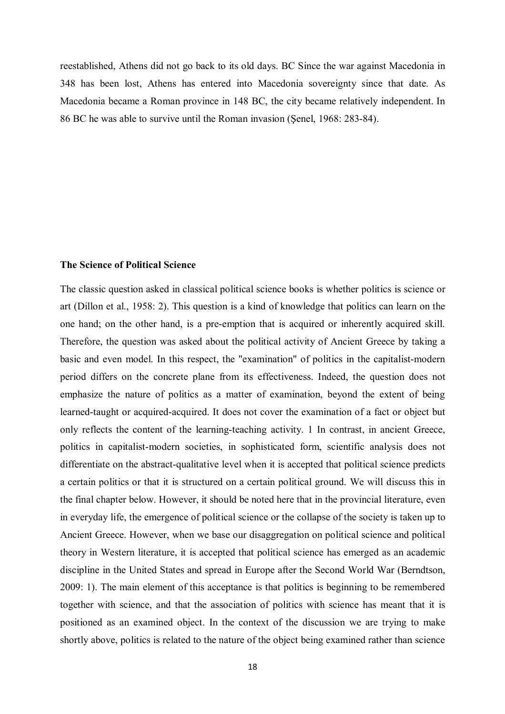reestablished, Athens did not go back to its old days. BC Since the war against Macedonia in 348 has been lost, Athens has entered into Macedonia sovereignty since that date. As Macedonia became a Roman province in 148 BC, the city became relatively independent. In 86 BC he was able to survive until the Roman invasion (Şenel, 1968: 283-84).

## **The Science of Political Science**

The classic question asked in classical political science books is whether politics is science or art (Dillon et al., 1958: 2). This question is a kind of knowledge that politics can learn on the one hand; on the other hand, is a pre-emption that is acquired or inherently acquired skill. Therefore, the question was asked about the political activity of Ancient Greece by taking a basic and even model. In this respect, the "examination" of politics in the capitalist-modern period differs on the concrete plane from its effectiveness. Indeed, the question does not emphasize the nature of politics as a matter of examination, beyond the extent of being learned-taught or acquired-acquired. It does not cover the examination of a fact or object but only reflects the content of the learning-teaching activity. 1 In contrast, in ancient Greece, politics in capitalist-modern societies, in sophisticated form, scientific analysis does not differentiate on the abstract-qualitative level when it is accepted that political science predicts a certain politics or that it is structured on a certain political ground. We will discuss this in the final chapter below. However, it should be noted here that in the provincial literature, even in everyday life, the emergence of political science or the collapse of the society is taken up to Ancient Greece. However, when we base our disaggregation on political science and political theory in Western literature, it is accepted that political science has emerged as an academic discipline in the United States and spread in Europe after the Second World War (Berndtson, 2009: 1). The main element of this acceptance is that politics is beginning to be remembered together with science, and that the association of politics with science has meant that it is positioned as an examined object. In the context of the discussion we are trying to make shortly above, politics is related to the nature of the object being examined rather than science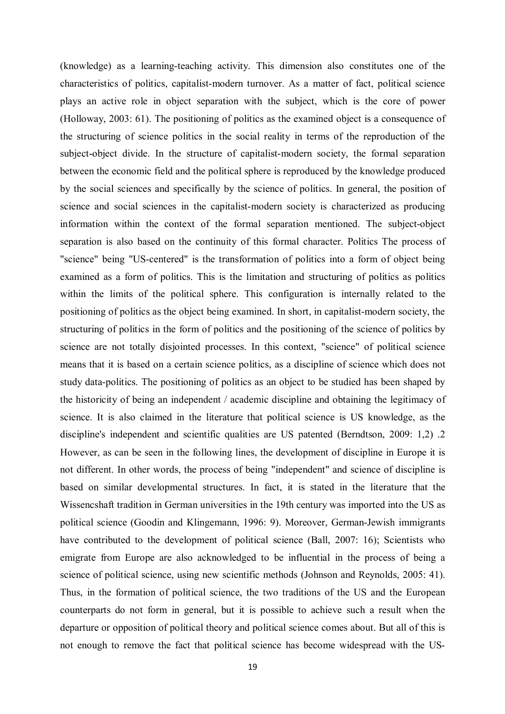(knowledge) as a learning-teaching activity. This dimension also constitutes one of the characteristics of politics, capitalist-modern turnover. As a matter of fact, political science plays an active role in object separation with the subject, which is the core of power (Holloway, 2003: 61). The positioning of politics as the examined object is a consequence of the structuring of science politics in the social reality in terms of the reproduction of the subject-object divide. In the structure of capitalist-modern society, the formal separation between the economic field and the political sphere is reproduced by the knowledge produced by the social sciences and specifically by the science of politics. In general, the position of science and social sciences in the capitalist-modern society is characterized as producing information within the context of the formal separation mentioned. The subject-object separation is also based on the continuity of this formal character. Politics The process of "science" being "US-centered" is the transformation of politics into a form of object being examined as a form of politics. This is the limitation and structuring of politics as politics within the limits of the political sphere. This configuration is internally related to the positioning of politics as the object being examined. In short, in capitalist-modern society, the structuring of politics in the form of politics and the positioning of the science of politics by science are not totally disjointed processes. In this context, "science" of political science means that it is based on a certain science politics, as a discipline of science which does not study data-politics. The positioning of politics as an object to be studied has been shaped by the historicity of being an independent / academic discipline and obtaining the legitimacy of science. It is also claimed in the literature that political science is US knowledge, as the discipline's independent and scientific qualities are US patented (Berndtson, 2009: 1,2) .2 However, as can be seen in the following lines, the development of discipline in Europe it is not different. In other words, the process of being "independent" and science of discipline is based on similar developmental structures. In fact, it is stated in the literature that the Wissencshaft tradition in German universities in the 19th century was imported into the US as political science (Goodin and Klingemann, 1996: 9). Moreover, German-Jewish immigrants have contributed to the development of political science (Ball, 2007: 16); Scientists who emigrate from Europe are also acknowledged to be influential in the process of being a science of political science, using new scientific methods (Johnson and Reynolds, 2005: 41). Thus, in the formation of political science, the two traditions of the US and the European counterparts do not form in general, but it is possible to achieve such a result when the departure or opposition of political theory and political science comes about. But all of this is not enough to remove the fact that political science has become widespread with the US-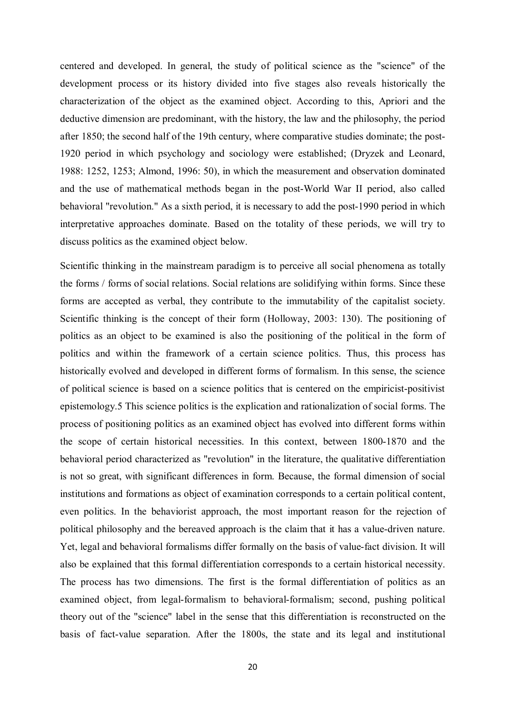centered and developed. In general, the study of political science as the "science" of the development process or its history divided into five stages also reveals historically the characterization of the object as the examined object. According to this, Apriori and the deductive dimension are predominant, with the history, the law and the philosophy, the period after 1850; the second half of the 19th century, where comparative studies dominate; the post-1920 period in which psychology and sociology were established; (Dryzek and Leonard, 1988: 1252, 1253; Almond, 1996: 50), in which the measurement and observation dominated and the use of mathematical methods began in the post-World War II period, also called behavioral "revolution." As a sixth period, it is necessary to add the post-1990 period in which interpretative approaches dominate. Based on the totality of these periods, we will try to discuss politics as the examined object below.

Scientific thinking in the mainstream paradigm is to perceive all social phenomena as totally the forms / forms of social relations. Social relations are solidifying within forms. Since these forms are accepted as verbal, they contribute to the immutability of the capitalist society. Scientific thinking is the concept of their form (Holloway, 2003: 130). The positioning of politics as an object to be examined is also the positioning of the political in the form of politics and within the framework of a certain science politics. Thus, this process has historically evolved and developed in different forms of formalism. In this sense, the science of political science is based on a science politics that is centered on the empiricist-positivist epistemology.5 This science politics is the explication and rationalization of social forms. The process of positioning politics as an examined object has evolved into different forms within the scope of certain historical necessities. In this context, between 1800-1870 and the behavioral period characterized as "revolution" in the literature, the qualitative differentiation is not so great, with significant differences in form. Because, the formal dimension of social institutions and formations as object of examination corresponds to a certain political content, even politics. In the behaviorist approach, the most important reason for the rejection of political philosophy and the bereaved approach is the claim that it has a value-driven nature. Yet, legal and behavioral formalisms differ formally on the basis of value-fact division. It will also be explained that this formal differentiation corresponds to a certain historical necessity. The process has two dimensions. The first is the formal differentiation of politics as an examined object, from legal-formalism to behavioral-formalism; second, pushing political theory out of the "science" label in the sense that this differentiation is reconstructed on the basis of fact-value separation. After the 1800s, the state and its legal and institutional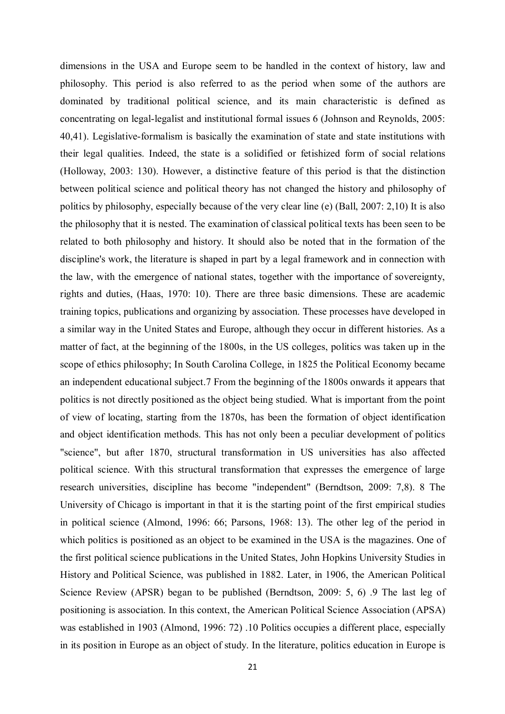dimensions in the USA and Europe seem to be handled in the context of history, law and philosophy. This period is also referred to as the period when some of the authors are dominated by traditional political science, and its main characteristic is defined as concentrating on legal-legalist and institutional formal issues 6 (Johnson and Reynolds, 2005: 40,41). Legislative-formalism is basically the examination of state and state institutions with their legal qualities. Indeed, the state is a solidified or fetishized form of social relations (Holloway, 2003: 130). However, a distinctive feature of this period is that the distinction between political science and political theory has not changed the history and philosophy of politics by philosophy, especially because of the very clear line (e) (Ball, 2007: 2,10) It is also the philosophy that it is nested. The examination of classical political texts has been seen to be related to both philosophy and history. It should also be noted that in the formation of the discipline's work, the literature is shaped in part by a legal framework and in connection with the law, with the emergence of national states, together with the importance of sovereignty, rights and duties, (Haas, 1970: 10). There are three basic dimensions. These are academic training topics, publications and organizing by association. These processes have developed in a similar way in the United States and Europe, although they occur in different histories. As a matter of fact, at the beginning of the 1800s, in the US colleges, politics was taken up in the scope of ethics philosophy; In South Carolina College, in 1825 the Political Economy became an independent educational subject.7 From the beginning of the 1800s onwards it appears that politics is not directly positioned as the object being studied. What is important from the point of view of locating, starting from the 1870s, has been the formation of object identification and object identification methods. This has not only been a peculiar development of politics "science", but after 1870, structural transformation in US universities has also affected political science. With this structural transformation that expresses the emergence of large research universities, discipline has become "independent" (Berndtson, 2009: 7,8). 8 The University of Chicago is important in that it is the starting point of the first empirical studies in political science (Almond, 1996: 66; Parsons, 1968: 13). The other leg of the period in which politics is positioned as an object to be examined in the USA is the magazines. One of the first political science publications in the United States, John Hopkins University Studies in History and Political Science, was published in 1882. Later, in 1906, the American Political Science Review (APSR) began to be published (Berndtson, 2009: 5, 6) .9 The last leg of positioning is association. In this context, the American Political Science Association (APSA) was established in 1903 (Almond, 1996: 72) .10 Politics occupies a different place, especially in its position in Europe as an object of study. In the literature, politics education in Europe is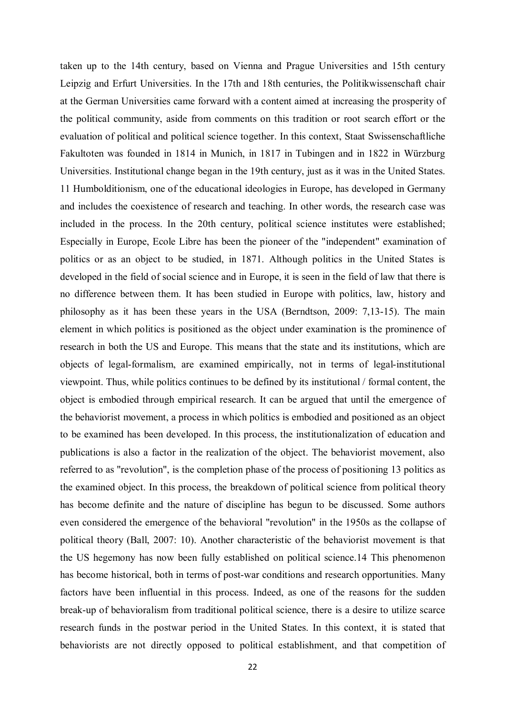taken up to the 14th century, based on Vienna and Prague Universities and 15th century Leipzig and Erfurt Universities. In the 17th and 18th centuries, the Politikwissenschaft chair at the German Universities came forward with a content aimed at increasing the prosperity of the political community, aside from comments on this tradition or root search effort or the evaluation of political and political science together. In this context, Staat Swissenschaftliche Fakultoten was founded in 1814 in Munich, in 1817 in Tubingen and in 1822 in Würzburg Universities. Institutional change began in the 19th century, just as it was in the United States. 11 Humbolditionism, one of the educational ideologies in Europe, has developed in Germany and includes the coexistence of research and teaching. In other words, the research case was included in the process. In the 20th century, political science institutes were established; Especially in Europe, Ecole Libre has been the pioneer of the "independent" examination of politics or as an object to be studied, in 1871. Although politics in the United States is developed in the field of social science and in Europe, it is seen in the field of law that there is no difference between them. It has been studied in Europe with politics, law, history and philosophy as it has been these years in the USA (Berndtson, 2009: 7,13-15). The main element in which politics is positioned as the object under examination is the prominence of research in both the US and Europe. This means that the state and its institutions, which are objects of legal-formalism, are examined empirically, not in terms of legal-institutional viewpoint. Thus, while politics continues to be defined by its institutional / formal content, the object is embodied through empirical research. It can be argued that until the emergence of the behaviorist movement, a process in which politics is embodied and positioned as an object to be examined has been developed. In this process, the institutionalization of education and publications is also a factor in the realization of the object. The behaviorist movement, also referred to as "revolution", is the completion phase of the process of positioning 13 politics as the examined object. In this process, the breakdown of political science from political theory has become definite and the nature of discipline has begun to be discussed. Some authors even considered the emergence of the behavioral "revolution" in the 1950s as the collapse of political theory (Ball, 2007: 10). Another characteristic of the behaviorist movement is that the US hegemony has now been fully established on political science.14 This phenomenon has become historical, both in terms of post-war conditions and research opportunities. Many factors have been influential in this process. Indeed, as one of the reasons for the sudden break-up of behavioralism from traditional political science, there is a desire to utilize scarce research funds in the postwar period in the United States. In this context, it is stated that behaviorists are not directly opposed to political establishment, and that competition of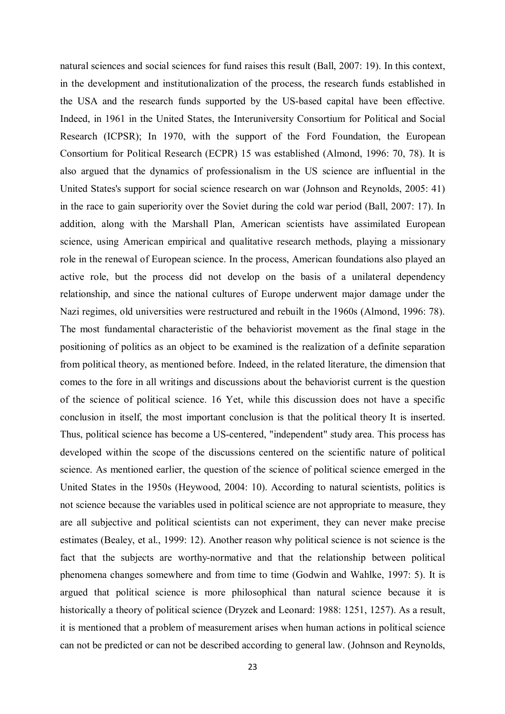natural sciences and social sciences for fund raises this result (Ball, 2007: 19). In this context, in the development and institutionalization of the process, the research funds established in the USA and the research funds supported by the US-based capital have been effective. Indeed, in 1961 in the United States, the Interuniversity Consortium for Political and Social Research (ICPSR); In 1970, with the support of the Ford Foundation, the European Consortium for Political Research (ECPR) 15 was established (Almond, 1996: 70, 78). It is also argued that the dynamics of professionalism in the US science are influential in the United States's support for social science research on war (Johnson and Reynolds, 2005: 41) in the race to gain superiority over the Soviet during the cold war period (Ball, 2007: 17). In addition, along with the Marshall Plan, American scientists have assimilated European science, using American empirical and qualitative research methods, playing a missionary role in the renewal of European science. In the process, American foundations also played an active role, but the process did not develop on the basis of a unilateral dependency relationship, and since the national cultures of Europe underwent major damage under the Nazi regimes, old universities were restructured and rebuilt in the 1960s (Almond, 1996: 78). The most fundamental characteristic of the behaviorist movement as the final stage in the positioning of politics as an object to be examined is the realization of a definite separation from political theory, as mentioned before. Indeed, in the related literature, the dimension that comes to the fore in all writings and discussions about the behaviorist current is the question of the science of political science. 16 Yet, while this discussion does not have a specific conclusion in itself, the most important conclusion is that the political theory It is inserted. Thus, political science has become a US-centered, "independent" study area. This process has developed within the scope of the discussions centered on the scientific nature of political science. As mentioned earlier, the question of the science of political science emerged in the United States in the 1950s (Heywood, 2004: 10). According to natural scientists, politics is not science because the variables used in political science are not appropriate to measure, they are all subjective and political scientists can not experiment, they can never make precise estimates (Bealey, et al., 1999: 12). Another reason why political science is not science is the fact that the subjects are worthy-normative and that the relationship between political phenomena changes somewhere and from time to time (Godwin and Wahlke, 1997: 5). It is argued that political science is more philosophical than natural science because it is historically a theory of political science (Dryzek and Leonard: 1988: 1251, 1257). As a result, it is mentioned that a problem of measurement arises when human actions in political science can not be predicted or can not be described according to general law. (Johnson and Reynolds,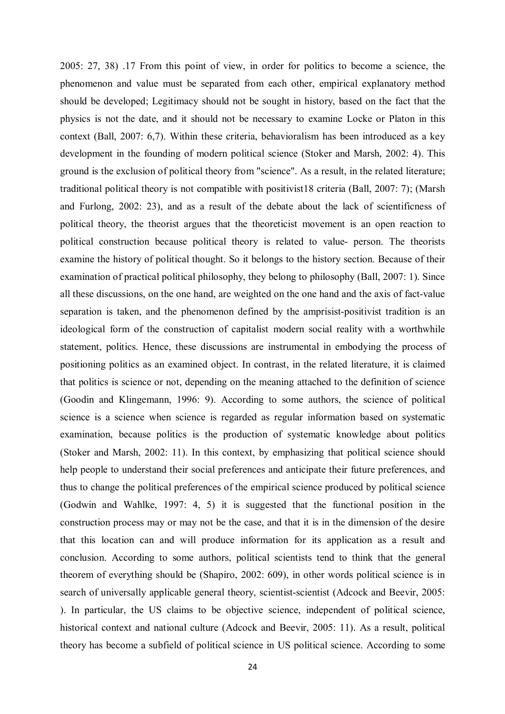2005: 27, 38) .17 From this point of view, in order for politics to become a science, the phenomenon and value must be separated from each other, empirical explanatory method should be developed; Legitimacy should not be sought in history, based on the fact that the physics is not the date, and it should not be necessary to examine Locke or Platon in this context (Ball, 2007: 6,7). Within these criteria, behavioralism has been introduced as a key development in the founding of modern political science (Stoker and Marsh, 2002: 4). This ground is the exclusion of political theory from "science". As a result, in the related literature; traditional political theory is not compatible with positivist18 criteria (Ball, 2007: 7); (Marsh and Furlong, 2002: 23), and as a result of the debate about the lack of scientificness of political theory, the theorist argues that the theoreticist movement is an open reaction to political construction because political theory is related to value- person. The theorists examine the history of political thought. So it belongs to the history section. Because of their examination of practical political philosophy, they belong to philosophy (Ball, 2007: 1). Since all these discussions, on the one hand, are weighted on the one hand and the axis of fact-value separation is taken, and the phenomenon defined by the amprisist-positivist tradition is an ideological form of the construction of capitalist modern social reality with a worthwhile statement, politics. Hence, these discussions are instrumental in embodying the process of positioning politics as an examined object. In contrast, in the related literature, it is claimed that politics is science or not, depending on the meaning attached to the definition of science (Goodin and Klingemann, 1996: 9). According to some authors, the science of political science is a science when science is regarded as regular information based on systematic examination, because politics is the production of systematic knowledge about politics (Stoker and Marsh, 2002: 11). In this context, by emphasizing that political science should help people to understand their social preferences and anticipate their future preferences, and thus to change the political preferences of the empirical science produced by political science (Godwin and Wahlke, 1997: 4, 5) it is suggested that the functional position in the construction process may or may not be the case, and that it is in the dimension of the desire that this location can and will produce information for its application as a result and conclusion. According to some authors, political scientists tend to think that the general theorem of everything should be (Shapiro, 2002: 609), in other words political science is in search of universally applicable general theory, scientist-scientist (Adcock and Beevir, 2005: ). In particular, the US claims to be objective science, independent of political science, historical context and national culture (Adcock and Beevir, 2005: 11). As a result, political theory has become a subfield of political science in US political science. According to some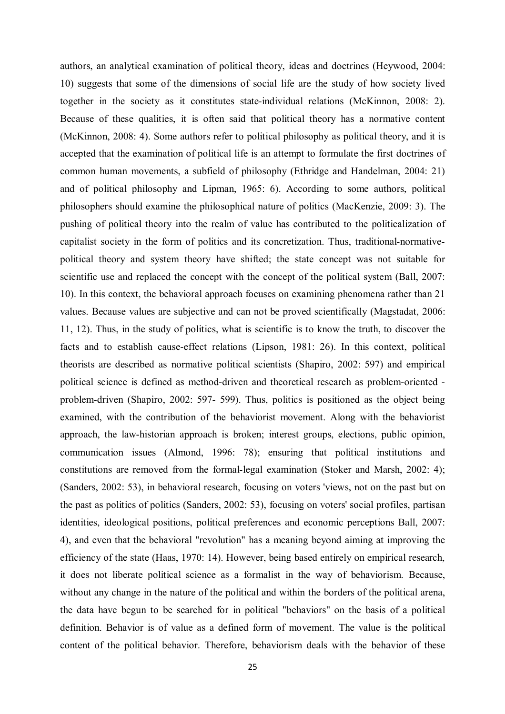authors, an analytical examination of political theory, ideas and doctrines (Heywood, 2004: 10) suggests that some of the dimensions of social life are the study of how society lived together in the society as it constitutes state-individual relations (McKinnon, 2008: 2). Because of these qualities, it is often said that political theory has a normative content (McKinnon, 2008: 4). Some authors refer to political philosophy as political theory, and it is accepted that the examination of political life is an attempt to formulate the first doctrines of common human movements, a subfield of philosophy (Ethridge and Handelman, 2004: 21) and of political philosophy and Lipman, 1965: 6). According to some authors, political philosophers should examine the philosophical nature of politics (MacKenzie, 2009: 3). The pushing of political theory into the realm of value has contributed to the politicalization of capitalist society in the form of politics and its concretization. Thus, traditional-normativepolitical theory and system theory have shifted; the state concept was not suitable for scientific use and replaced the concept with the concept of the political system (Ball, 2007: 10). In this context, the behavioral approach focuses on examining phenomena rather than 21 values. Because values are subjective and can not be proved scientifically (Magstadat, 2006: 11, 12). Thus, in the study of politics, what is scientific is to know the truth, to discover the facts and to establish cause-effect relations (Lipson, 1981: 26). In this context, political theorists are described as normative political scientists (Shapiro, 2002: 597) and empirical political science is defined as method-driven and theoretical research as problem-oriented problem-driven (Shapiro, 2002: 597- 599). Thus, politics is positioned as the object being examined, with the contribution of the behaviorist movement. Along with the behaviorist approach, the law-historian approach is broken; interest groups, elections, public opinion, communication issues (Almond, 1996: 78); ensuring that political institutions and constitutions are removed from the formal-legal examination (Stoker and Marsh, 2002: 4); (Sanders, 2002: 53), in behavioral research, focusing on voters 'views, not on the past but on the past as politics of politics (Sanders, 2002: 53), focusing on voters' social profiles, partisan identities, ideological positions, political preferences and economic perceptions Ball, 2007: 4), and even that the behavioral "revolution" has a meaning beyond aiming at improving the efficiency of the state (Haas, 1970: 14). However, being based entirely on empirical research, it does not liberate political science as a formalist in the way of behaviorism. Because, without any change in the nature of the political and within the borders of the political arena, the data have begun to be searched for in political "behaviors" on the basis of a political definition. Behavior is of value as a defined form of movement. The value is the political content of the political behavior. Therefore, behaviorism deals with the behavior of these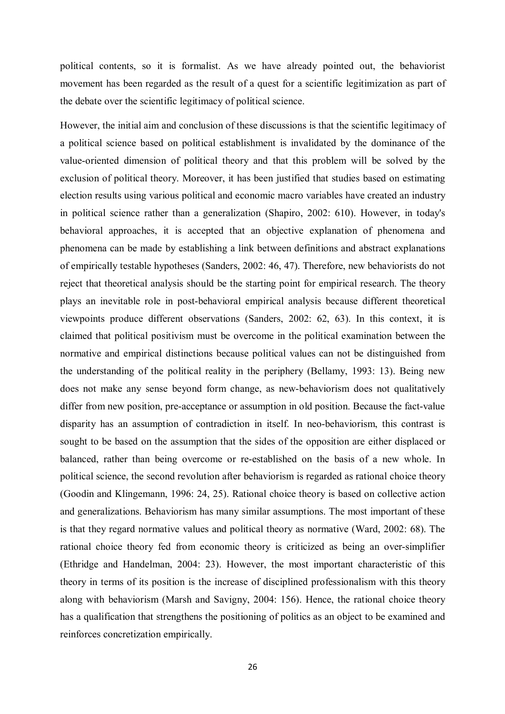political contents, so it is formalist. As we have already pointed out, the behaviorist movement has been regarded as the result of a quest for a scientific legitimization as part of the debate over the scientific legitimacy of political science.

However, the initial aim and conclusion of these discussions is that the scientific legitimacy of a political science based on political establishment is invalidated by the dominance of the value-oriented dimension of political theory and that this problem will be solved by the exclusion of political theory. Moreover, it has been justified that studies based on estimating election results using various political and economic macro variables have created an industry in political science rather than a generalization (Shapiro, 2002: 610). However, in today's behavioral approaches, it is accepted that an objective explanation of phenomena and phenomena can be made by establishing a link between definitions and abstract explanations of empirically testable hypotheses (Sanders, 2002: 46, 47). Therefore, new behaviorists do not reject that theoretical analysis should be the starting point for empirical research. The theory plays an inevitable role in post-behavioral empirical analysis because different theoretical viewpoints produce different observations (Sanders, 2002: 62, 63). In this context, it is claimed that political positivism must be overcome in the political examination between the normative and empirical distinctions because political values can not be distinguished from the understanding of the political reality in the periphery (Bellamy, 1993: 13). Being new does not make any sense beyond form change, as new-behaviorism does not qualitatively differ from new position, pre-acceptance or assumption in old position. Because the fact-value disparity has an assumption of contradiction in itself. In neo-behaviorism, this contrast is sought to be based on the assumption that the sides of the opposition are either displaced or balanced, rather than being overcome or re-established on the basis of a new whole. In political science, the second revolution after behaviorism is regarded as rational choice theory (Goodin and Klingemann, 1996: 24, 25). Rational choice theory is based on collective action and generalizations. Behaviorism has many similar assumptions. The most important of these is that they regard normative values and political theory as normative (Ward, 2002: 68). The rational choice theory fed from economic theory is criticized as being an over-simplifier (Ethridge and Handelman, 2004: 23). However, the most important characteristic of this theory in terms of its position is the increase of disciplined professionalism with this theory along with behaviorism (Marsh and Savigny, 2004: 156). Hence, the rational choice theory has a qualification that strengthens the positioning of politics as an object to be examined and reinforces concretization empirically.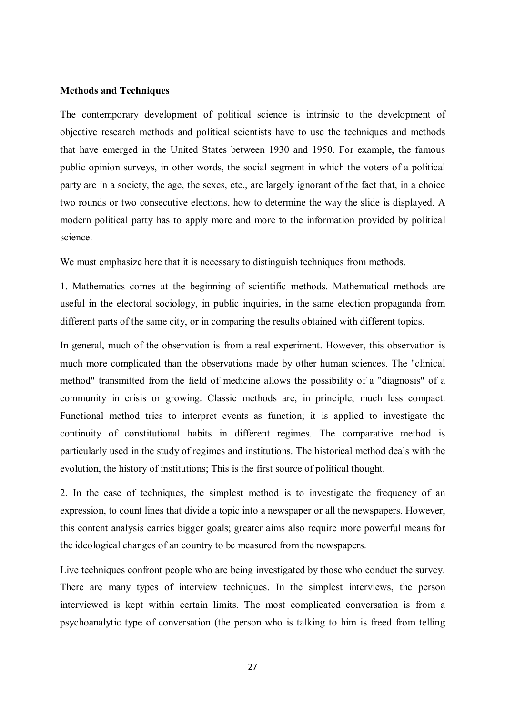### **Methods and Techniques**

The contemporary development of political science is intrinsic to the development of objective research methods and political scientists have to use the techniques and methods that have emerged in the United States between 1930 and 1950. For example, the famous public opinion surveys, in other words, the social segment in which the voters of a political party are in a society, the age, the sexes, etc., are largely ignorant of the fact that, in a choice two rounds or two consecutive elections, how to determine the way the slide is displayed. A modern political party has to apply more and more to the information provided by political science.

We must emphasize here that it is necessary to distinguish techniques from methods.

1. Mathematics comes at the beginning of scientific methods. Mathematical methods are useful in the electoral sociology, in public inquiries, in the same election propaganda from different parts of the same city, or in comparing the results obtained with different topics.

In general, much of the observation is from a real experiment. However, this observation is much more complicated than the observations made by other human sciences. The "clinical method" transmitted from the field of medicine allows the possibility of a "diagnosis" of a community in crisis or growing. Classic methods are, in principle, much less compact. Functional method tries to interpret events as function; it is applied to investigate the continuity of constitutional habits in different regimes. The comparative method is particularly used in the study of regimes and institutions. The historical method deals with the evolution, the history of institutions; This is the first source of political thought.

2. In the case of techniques, the simplest method is to investigate the frequency of an expression, to count lines that divide a topic into a newspaper or all the newspapers. However, this content analysis carries bigger goals; greater aims also require more powerful means for the ideological changes of an country to be measured from the newspapers.

Live techniques confront people who are being investigated by those who conduct the survey. There are many types of interview techniques. In the simplest interviews, the person interviewed is kept within certain limits. The most complicated conversation is from a psychoanalytic type of conversation (the person who is talking to him is freed from telling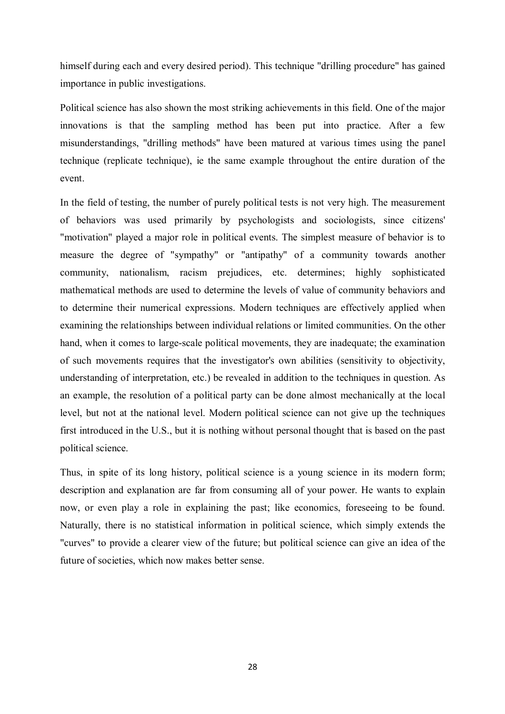himself during each and every desired period). This technique "drilling procedure" has gained importance in public investigations.

Political science has also shown the most striking achievements in this field. One of the major innovations is that the sampling method has been put into practice. After a few misunderstandings, "drilling methods" have been matured at various times using the panel technique (replicate technique), ie the same example throughout the entire duration of the event.

In the field of testing, the number of purely political tests is not very high. The measurement of behaviors was used primarily by psychologists and sociologists, since citizens' "motivation" played a major role in political events. The simplest measure of behavior is to measure the degree of "sympathy" or "antipathy" of a community towards another community, nationalism, racism prejudices, etc. determines; highly sophisticated mathematical methods are used to determine the levels of value of community behaviors and to determine their numerical expressions. Modern techniques are effectively applied when examining the relationships between individual relations or limited communities. On the other hand, when it comes to large-scale political movements, they are inadequate; the examination of such movements requires that the investigator's own abilities (sensitivity to objectivity, understanding of interpretation, etc.) be revealed in addition to the techniques in question. As an example, the resolution of a political party can be done almost mechanically at the local level, but not at the national level. Modern political science can not give up the techniques first introduced in the U.S., but it is nothing without personal thought that is based on the past political science.

Thus, in spite of its long history, political science is a young science in its modern form; description and explanation are far from consuming all of your power. He wants to explain now, or even play a role in explaining the past; like economics, foreseeing to be found. Naturally, there is no statistical information in political science, which simply extends the "curves" to provide a clearer view of the future; but political science can give an idea of the future of societies, which now makes better sense.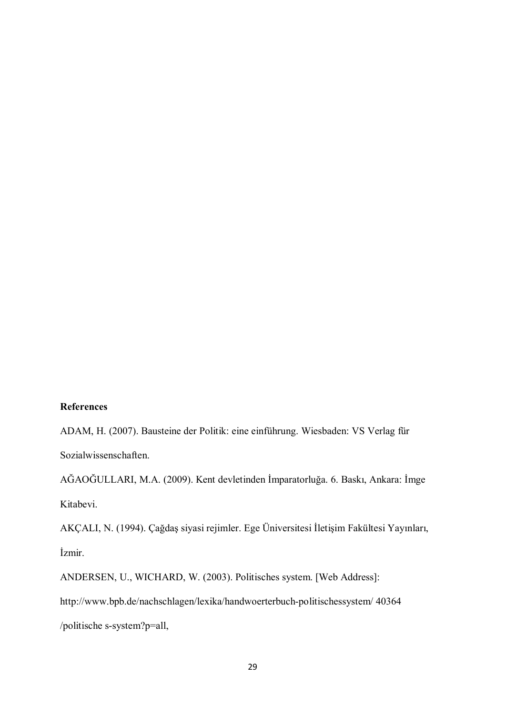# **References**

ADAM, H. (2007). Bausteine der Politik: eine einführung. Wiesbaden: VS Verlag für Sozialwissenschaften.

AĞAOĞULLARI, M.A. (2009). Kent devletinden İmparatorluğa. 6. Baskı, Ankara: İmge Kitabevi.

AKÇALI, N. (1994). Çağdaş siyasi rejimler. Ege Üniversitesi İletişim Fakültesi Yayınları, İzmir.

ANDERSEN, U., WICHARD, W. (2003). Politisches system. [Web Address]: http://www.bpb.de/nachschlagen/lexika/handwoerterbuch-politischessystem/ 40364 /politische s-system?p=all,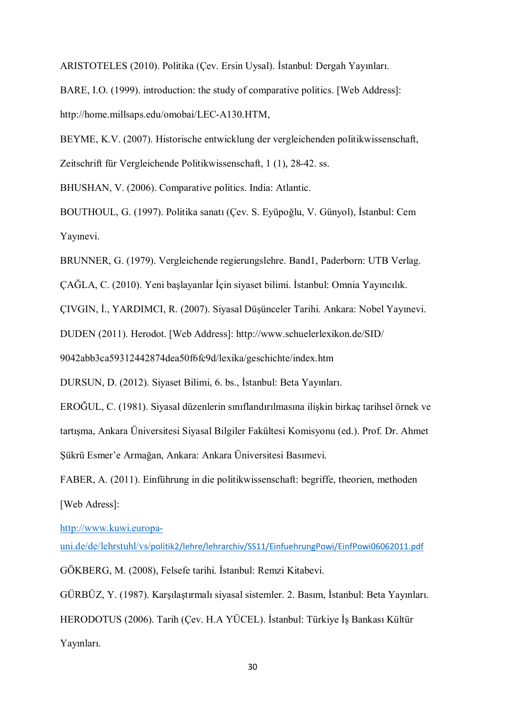ARISTOTELES (2010). Politika (Çev. Ersin Uysal). İstanbul: Dergah Yayınları.

BARE, I.O. (1999). introduction: the study of comparative politics. [Web Address]: http://home.millsaps.edu/omobai/LEC-A130.HTM,

BEYME, K.V. (2007). Historische entwicklung der vergleichenden politikwissenschaft, Zeitschrift für Vergleichende Politikwissenschaft, 1 (1), 28-42. ss.

BHUSHAN, V. (2006). Comparative politics. India: Atlantic.

BOUTHOUL, G. (1997). Politika sanatı (Çev. S. Eyüpoğlu, V. Günyol), İstanbul: Cem Yayınevi.

BRUNNER, G. (1979). Vergleichende regierungslehre. Band1, Paderborn: UTB Verlag.

ÇAĞLA, C. (2010). Yeni başlayanlar İçin siyaset bilimi. İstanbul: Omnia Yayıncılık.

ÇIVGIN, İ., YARDIMCI, R. (2007). Siyasal Düşünceler Tarihi. Ankara: Nobel Yayınevi.

DUDEN (2011). Herodot. [Web Address]: http://www.schuelerlexikon.de/SID/

9042abb3ca59312442874dea50f6fc9d/lexika/geschichte/index.htm

DURSUN, D. (2012). Siyaset Bilimi, 6. bs., İstanbul: Beta Yayınları.

EROĞUL, C. (1981). Siyasal düzenlerin sınıflandırılmasına ilişkin birkaç tarihsel örnek ve tartışma, Ankara Üniversitesi Siyasal Bilgiler Fakültesi Komisyonu (ed.). Prof. Dr. Ahmet Şükrü Esmer'e Armağan, Ankara: Ankara Üniversitesi Basımevi.

FABER, A. (2011). Einführung in die politikwissenschaft: begriffe, theorien, methoden [Web Adress]:

http://www.kuwi.europa-

uni.de/de/lehrstuhl/vs/politik2/lehre/lehrarchiv/SS11/EinfuehrungPowi/EinfPowi06062011.pdf GÖKBERG, M. (2008), Felsefe tarihi. İstanbul: Remzi Kitabevi.

GÜRBÜZ, Y. (1987). Karşılaştırmalı siyasal sistemler. 2. Basım, İstanbul: Beta Yayınları. HERODOTUS (2006). Tarih (Çev. H.A YÜCEL). İstanbul: Türkiye İş Bankası Kültür Yayınları.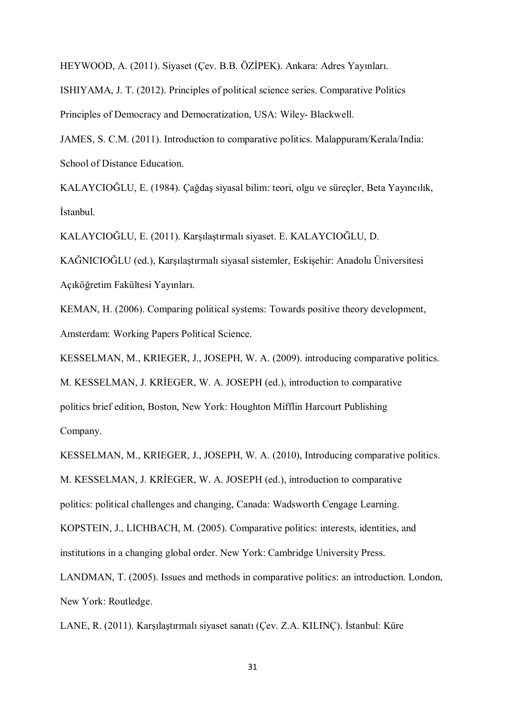HEYWOOD, A. (2011). Siyaset (Çev. B.B. ÖZİPEK). Ankara: Adres Yayınları.

ISHIYAMA, J. T. (2012). Principles of political science series. Comparative Politics

Principles of Democracy and Democratization, USA: Wiley- Blackwell.

JAMES, S. C.M. (2011). Introduction to comparative politics. Malappuram/Kerala/India: School of Distance Education.

KALAYCIOĞLU, E. (1984). Çağdaş siyasal bilim: teori, olgu ve süreçler, Beta Yayıncılık, İstanbul.

KALAYCIOĞLU, E. (2011). Karşılaştırmalı siyaset. E. KALAYCIOĞLU, D.

KAĞNICIOĞLU (ed.), Karşılaştırmalı siyasal sistemler, Eskişehir: Anadolu Üniversitesi Açıköğretim Fakültesi Yayınları.

KEMAN, H. (2006). Comparing political systems: Towards positive theory development, Amsterdam: Working Papers Political Science.

KESSELMAN, M., KRIEGER, J., JOSEPH, W. A. (2009). introducing comparative politics.

M. KESSELMAN, J. KRİEGER, W. A. JOSEPH (ed.), introduction to comparative politics brief edition, Boston, New York: Houghton Mifflin Harcourt Publishing Company.

KESSELMAN, M., KRIEGER, J., JOSEPH, W. A. (2010), Introducing comparative politics. M. KESSELMAN, J. KRİEGER, W. A. JOSEPH (ed.), introduction to comparative politics: political challenges and changing, Canada: Wadsworth Cengage Learning. KOPSTEIN, J., LICHBACH, M. (2005). Comparative politics: interests, identities, and institutions in a changing global order. New York: Cambridge University Press. LANDMAN, T. (2005). Issues and methods in comparative politics: an introduction. London,

New York: Routledge.

LANE, R. (2011). Karşılaştırmalı siyaset sanatı (Çev. Z.A. KILINÇ). İstanbul: Küre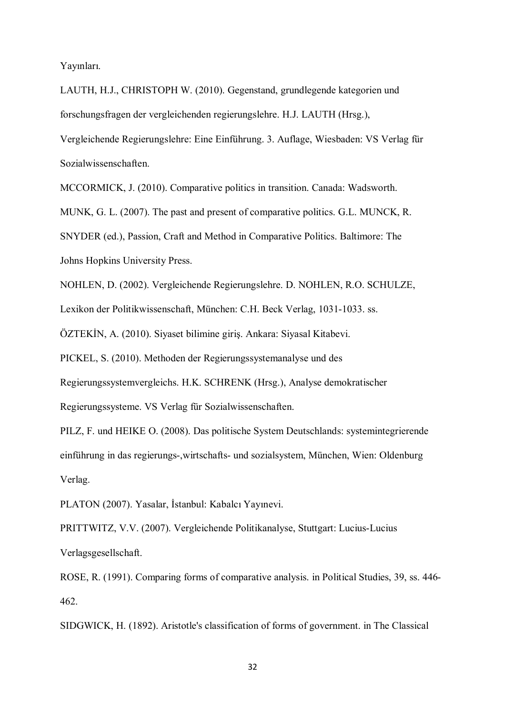Yayınları.

LAUTH, H.J., CHRISTOPH W. (2010). Gegenstand, grundlegende kategorien und forschungsfragen der vergleichenden regierungslehre. H.J. LAUTH (Hrsg.),

Vergleichende Regierungslehre: Eine Einführung. 3. Auflage, Wiesbaden: VS Verlag für Sozialwissenschaften.

MCCORMICK, J. (2010). Comparative politics in transition. Canada: Wadsworth.

MUNK, G. L. (2007). The past and present of comparative politics. G.L. MUNCK, R.

SNYDER (ed.), Passion, Craft and Method in Comparative Politics. Baltimore: The Johns Hopkins University Press.

NOHLEN, D. (2002). Vergleichende Regierungslehre. D. NOHLEN, R.O. SCHULZE,

Lexikon der Politikwissenschaft, München: C.H. Beck Verlag, 1031-1033. ss.

ÖZTEKİN, A. (2010). Siyaset bilimine giriş. Ankara: Siyasal Kitabevi.

PICKEL, S. (2010). Methoden der Regierungssystemanalyse und des

Regierungssystemvergleichs. H.K. SCHRENK (Hrsg.), Analyse demokratischer

Regierungssysteme. VS Verlag für Sozialwissenschaften.

PILZ, F. und HEIKE O. (2008). Das politische System Deutschlands: systemintegrierende einführung in das regierungs-,wirtschafts- und sozialsystem, München, Wien: Oldenburg Verlag.

PLATON (2007). Yasalar, İstanbul: Kabalcı Yayınevi.

PRITTWITZ, V.V. (2007). Vergleichende Politikanalyse, Stuttgart: Lucius-Lucius Verlagsgesellschaft.

ROSE, R. (1991). Comparing forms of comparative analysis. in Political Studies, 39, ss. 446- 462.

SIDGWICK, H. (1892). Aristotle's classification of forms of government. in The Classical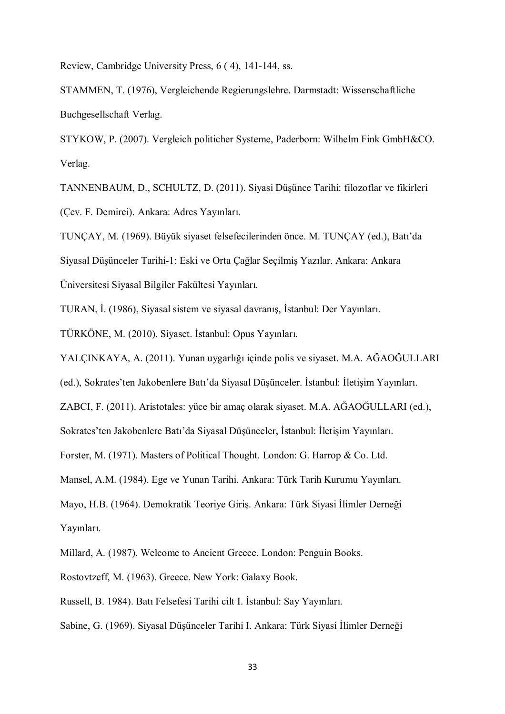Review, Cambridge University Press, 6 ( 4), 141-144, ss.

STAMMEN, T. (1976), Vergleichende Regierungslehre. Darmstadt: Wissenschaftliche Buchgesellschaft Verlag.

STYKOW, P. (2007). Vergleich politicher Systeme, Paderborn: Wilhelm Fink GmbH&CO. Verlag.

TANNENBAUM, D., SCHULTZ, D. (2011). Siyasi Düşünce Tarihi: filozoflar ve fikirleri (Çev. F. Demirci). Ankara: Adres Yayınları.

TUNÇAY, M. (1969). Büyük siyaset felsefecilerinden önce. M. TUNÇAY (ed.), Batı'da Siyasal Düşünceler Tarihi-1: Eski ve Orta Çağlar Seçilmiş Yazılar. Ankara: Ankara Üniversitesi Siyasal Bilgiler Fakültesi Yayınları.

TURAN, İ. (1986), Siyasal sistem ve siyasal davranış, İstanbul: Der Yayınları.

TÜRKÖNE, M. (2010). Siyaset. İstanbul: Opus Yayınları.

YALÇINKAYA, A. (2011). Yunan uygarlığı içinde polis ve siyaset. M.A. AĞAOĞULLARI

(ed.), Sokrates'ten Jakobenlere Batı'da Siyasal Düşünceler. İstanbul: İletişim Yayınları.

ZABCI, F. (2011). Aristotales: yüce bir amaç olarak siyaset. M.A. AĞAOĞULLARI (ed.),

Sokrates'ten Jakobenlere Batı'da Siyasal Düşünceler, İstanbul: İletişim Yayınları.

Forster, M. (1971). Masters of Political Thought. London: G. Harrop & Co. Ltd.

Mansel, A.M. (1984). Ege ve Yunan Tarihi. Ankara: Türk Tarih Kurumu Yayınları.

Mayo, H.B. (1964). Demokratik Teoriye Giriş. Ankara: Türk Siyasi İlimler Derneği Yayınları.

Millard, A. (1987). Welcome to Ancient Greece. London: Penguin Books.

Rostovtzeff, M. (1963). Greece. New York: Galaxy Book.

Russell, B. 1984). Batı Felsefesi Tarihi cilt I. İstanbul: Say Yayınları.

Sabine, G. (1969). Siyasal Düşünceler Tarihi I. Ankara: Türk Siyasi İlimler Derneği